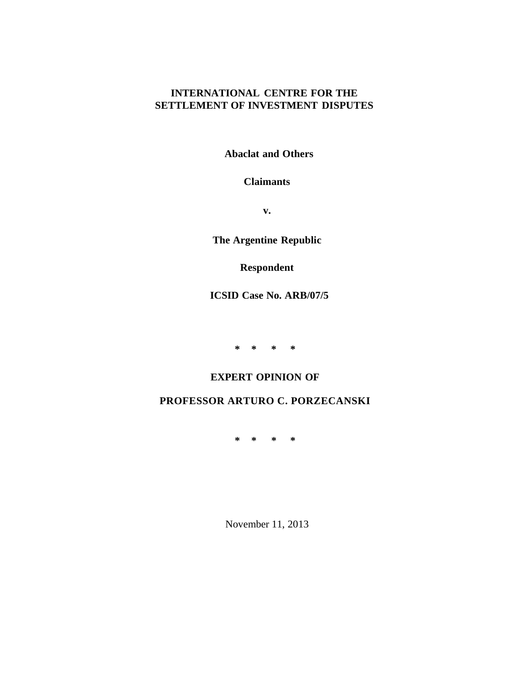# **INTERNATIONAL CENTRE FOR THE SETTLEMENT OF INVESTMENT DISPUTES**

**Abaclat and Others**

# **Claimants**

**v.**

**The Argentine Republic**

# **Respondent**

**ICSID Case No. ARB/07/5**

**\* \* \* \***

# **EXPERT OPINION OF**

# **PROFESSOR ARTURO C. PORZECANSKI**

**\* \* \* \***

November 11, 2013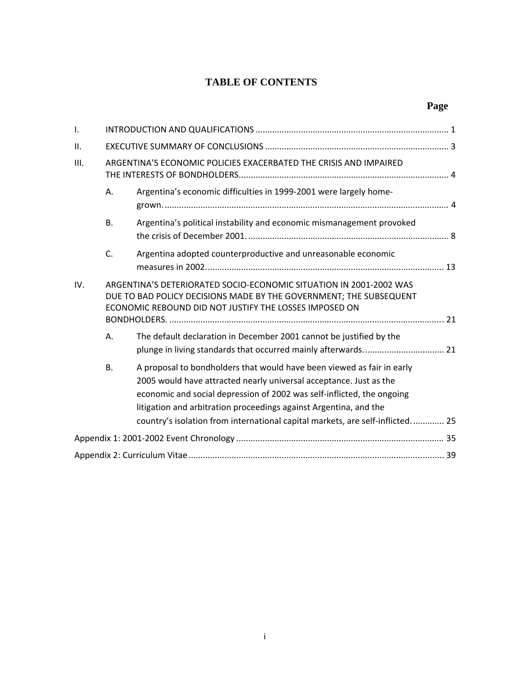# **TABLE OF CONTENTS**

| $\mathsf{I}$ . |                                                                   |                                                                                                                                                                                                                                                                                                                                                                              |  |  |  |
|----------------|-------------------------------------------------------------------|------------------------------------------------------------------------------------------------------------------------------------------------------------------------------------------------------------------------------------------------------------------------------------------------------------------------------------------------------------------------------|--|--|--|
| II.            |                                                                   |                                                                                                                                                                                                                                                                                                                                                                              |  |  |  |
| III.           | ARGENTINA'S ECONOMIC POLICIES EXACERBATED THE CRISIS AND IMPAIRED |                                                                                                                                                                                                                                                                                                                                                                              |  |  |  |
|                | Α.                                                                | Argentina's economic difficulties in 1999-2001 were largely home-                                                                                                                                                                                                                                                                                                            |  |  |  |
|                | <b>B.</b>                                                         | Argentina's political instability and economic mismanagement provoked                                                                                                                                                                                                                                                                                                        |  |  |  |
|                | C.                                                                | Argentina adopted counterproductive and unreasonable economic                                                                                                                                                                                                                                                                                                                |  |  |  |
| IV.            |                                                                   | ARGENTINA'S DETERIORATED SOCIO-ECONOMIC SITUATION IN 2001-2002 WAS<br>DUE TO BAD POLICY DECISIONS MADE BY THE GOVERNMENT; THE SUBSEQUENT<br>ECONOMIC REBOUND DID NOT JUSTIFY THE LOSSES IMPOSED ON                                                                                                                                                                           |  |  |  |
|                | Α.                                                                | The default declaration in December 2001 cannot be justified by the                                                                                                                                                                                                                                                                                                          |  |  |  |
|                | <b>B.</b>                                                         | A proposal to bondholders that would have been viewed as fair in early<br>2005 would have attracted nearly universal acceptance. Just as the<br>economic and social depression of 2002 was self-inflicted, the ongoing<br>litigation and arbitration proceedings against Argentina, and the<br>country's isolation from international capital markets, are self-inflicted 25 |  |  |  |
|                |                                                                   |                                                                                                                                                                                                                                                                                                                                                                              |  |  |  |
|                |                                                                   |                                                                                                                                                                                                                                                                                                                                                                              |  |  |  |

# **Page**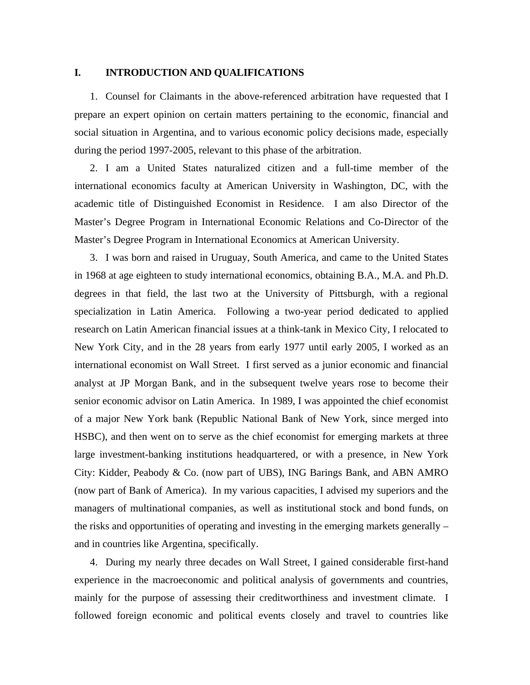## **I. INTRODUCTION AND QUALIFICATIONS**

1. Counsel for Claimants in the above-referenced arbitration have requested that I prepare an expert opinion on certain matters pertaining to the economic, financial and social situation in Argentina, and to various economic policy decisions made, especially during the period 1997-2005, relevant to this phase of the arbitration.

2. I am a United States naturalized citizen and a full-time member of the international economics faculty at American University in Washington, DC, with the academic title of Distinguished Economist in Residence. I am also Director of the Master's Degree Program in International Economic Relations and Co-Director of the Master's Degree Program in International Economics at American University.

3. I was born and raised in Uruguay, South America, and came to the United States in 1968 at age eighteen to study international economics, obtaining B.A., M.A. and Ph.D. degrees in that field, the last two at the University of Pittsburgh, with a regional specialization in Latin America. Following a two-year period dedicated to applied research on Latin American financial issues at a think-tank in Mexico City, I relocated to New York City, and in the 28 years from early 1977 until early 2005, I worked as an international economist on Wall Street. I first served as a junior economic and financial analyst at JP Morgan Bank, and in the subsequent twelve years rose to become their senior economic advisor on Latin America. In 1989, I was appointed the chief economist of a major New York bank (Republic National Bank of New York, since merged into HSBC), and then went on to serve as the chief economist for emerging markets at three large investment-banking institutions headquartered, or with a presence, in New York City: Kidder, Peabody & Co. (now part of UBS), ING Barings Bank, and ABN AMRO (now part of Bank of America). In my various capacities, I advised my superiors and the managers of multinational companies, as well as institutional stock and bond funds, on the risks and opportunities of operating and investing in the emerging markets generally – and in countries like Argentina, specifically.

4. During my nearly three decades on Wall Street, I gained considerable first-hand experience in the macroeconomic and political analysis of governments and countries, mainly for the purpose of assessing their creditworthiness and investment climate. I followed foreign economic and political events closely and travel to countries like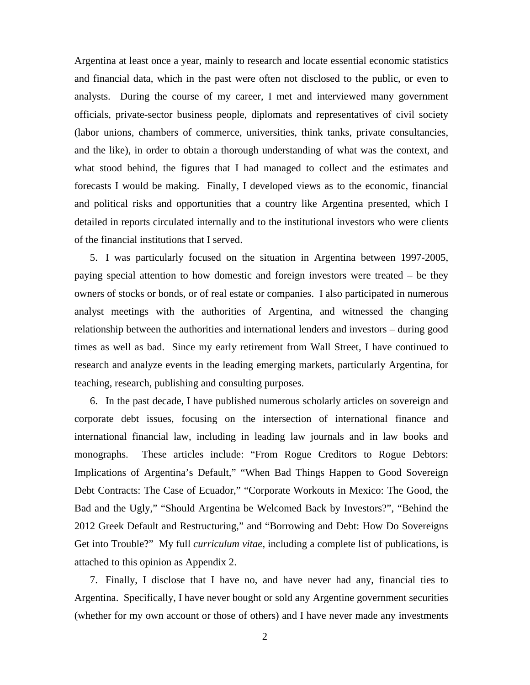Argentina at least once a year, mainly to research and locate essential economic statistics and financial data, which in the past were often not disclosed to the public, or even to analysts. During the course of my career, I met and interviewed many government officials, private-sector business people, diplomats and representatives of civil society (labor unions, chambers of commerce, universities, think tanks, private consultancies, and the like), in order to obtain a thorough understanding of what was the context, and what stood behind, the figures that I had managed to collect and the estimates and forecasts I would be making. Finally, I developed views as to the economic, financial and political risks and opportunities that a country like Argentina presented, which I detailed in reports circulated internally and to the institutional investors who were clients of the financial institutions that I served.

5. I was particularly focused on the situation in Argentina between 1997-2005, paying special attention to how domestic and foreign investors were treated – be they owners of stocks or bonds, or of real estate or companies. I also participated in numerous analyst meetings with the authorities of Argentina, and witnessed the changing relationship between the authorities and international lenders and investors – during good times as well as bad. Since my early retirement from Wall Street, I have continued to research and analyze events in the leading emerging markets, particularly Argentina, for teaching, research, publishing and consulting purposes.

6. In the past decade, I have published numerous scholarly articles on sovereign and corporate debt issues, focusing on the intersection of international finance and international financial law, including in leading law journals and in law books and monographs. These articles include: "From Rogue Creditors to Rogue Debtors: Implications of Argentina's Default," "When Bad Things Happen to Good Sovereign Debt Contracts: The Case of Ecuador," "Corporate Workouts in Mexico: The Good, the Bad and the Ugly," "Should Argentina be Welcomed Back by Investors?", "Behind the 2012 Greek Default and Restructuring," and "Borrowing and Debt: How Do Sovereigns Get into Trouble?" My full *curriculum vitae,* including a complete list of publications, is attached to this opinion as Appendix 2.

7. Finally, I disclose that I have no, and have never had any, financial ties to Argentina. Specifically, I have never bought or sold any Argentine government securities (whether for my own account or those of others) and I have never made any investments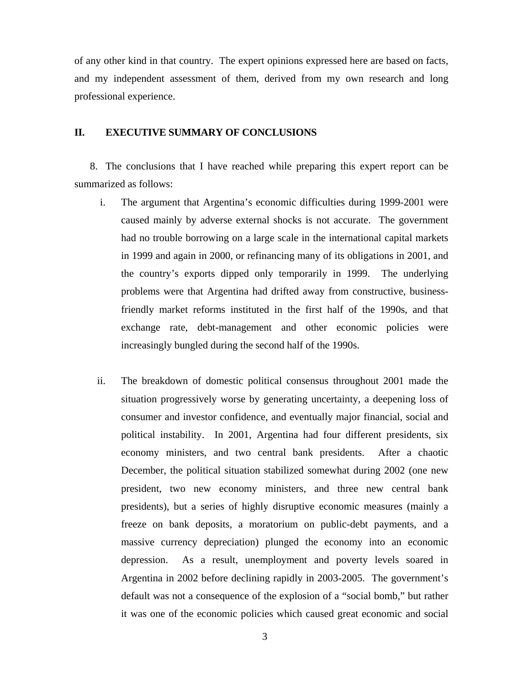of any other kind in that country. The expert opinions expressed here are based on facts, and my independent assessment of them, derived from my own research and long professional experience.

## **II. EXECUTIVE SUMMARY OF CONCLUSIONS**

8. The conclusions that I have reached while preparing this expert report can be summarized as follows:

- i. The argument that Argentina's economic difficulties during 1999-2001 were caused mainly by adverse external shocks is not accurate. The government had no trouble borrowing on a large scale in the international capital markets in 1999 and again in 2000, or refinancing many of its obligations in 2001, and the country's exports dipped only temporarily in 1999. The underlying problems were that Argentina had drifted away from constructive, businessfriendly market reforms instituted in the first half of the 1990s, and that exchange rate, debt-management and other economic policies were increasingly bungled during the second half of the 1990s.
- ii. The breakdown of domestic political consensus throughout 2001 made the situation progressively worse by generating uncertainty, a deepening loss of consumer and investor confidence, and eventually major financial, social and political instability. In 2001, Argentina had four different presidents, six economy ministers, and two central bank presidents. After a chaotic December, the political situation stabilized somewhat during 2002 (one new president, two new economy ministers, and three new central bank presidents), but a series of highly disruptive economic measures (mainly a freeze on bank deposits, a moratorium on public-debt payments, and a massive currency depreciation) plunged the economy into an economic depression. As a result, unemployment and poverty levels soared in Argentina in 2002 before declining rapidly in 2003-2005. The government's default was not a consequence of the explosion of a "social bomb," but rather it was one of the economic policies which caused great economic and social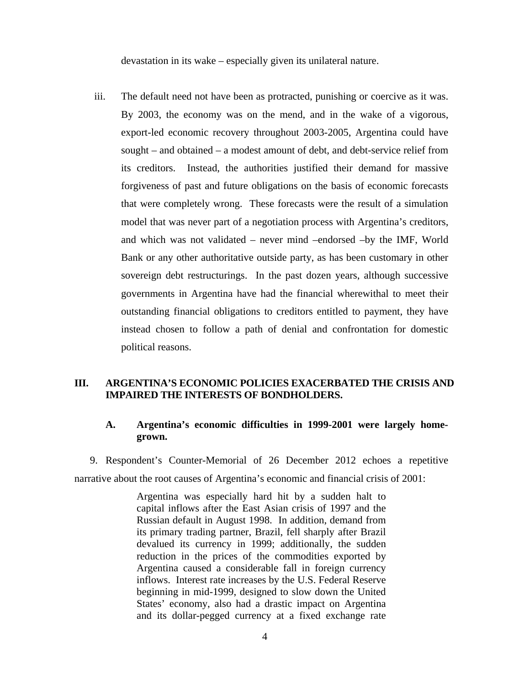devastation in its wake – especially given its unilateral nature.

iii. The default need not have been as protracted, punishing or coercive as it was. By 2003, the economy was on the mend, and in the wake of a vigorous, export-led economic recovery throughout 2003-2005, Argentina could have sought – and obtained – a modest amount of debt, and debt-service relief from its creditors. Instead, the authorities justified their demand for massive forgiveness of past and future obligations on the basis of economic forecasts that were completely wrong. These forecasts were the result of a simulation model that was never part of a negotiation process with Argentina's creditors, and which was not validated – never mind –endorsed –by the IMF, World Bank or any other authoritative outside party, as has been customary in other sovereign debt restructurings. In the past dozen years, although successive governments in Argentina have had the financial wherewithal to meet their outstanding financial obligations to creditors entitled to payment, they have instead chosen to follow a path of denial and confrontation for domestic political reasons.

## **III. ARGENTINA'S ECONOMIC POLICIES EXACERBATED THE CRISIS AND IMPAIRED THE INTERESTS OF BONDHOLDERS.**

# **A. Argentina's economic difficulties in 1999-2001 were largely homegrown.**

9. Respondent's Counter-Memorial of 26 December 2012 echoes a repetitive narrative about the root causes of Argentina's economic and financial crisis of 2001:

> Argentina was especially hard hit by a sudden halt to capital inflows after the East Asian crisis of 1997 and the Russian default in August 1998. In addition, demand from its primary trading partner, Brazil, fell sharply after Brazil devalued its currency in 1999; additionally, the sudden reduction in the prices of the commodities exported by Argentina caused a considerable fall in foreign currency inflows. Interest rate increases by the U.S. Federal Reserve beginning in mid-1999, designed to slow down the United States' economy, also had a drastic impact on Argentina and its dollar-pegged currency at a fixed exchange rate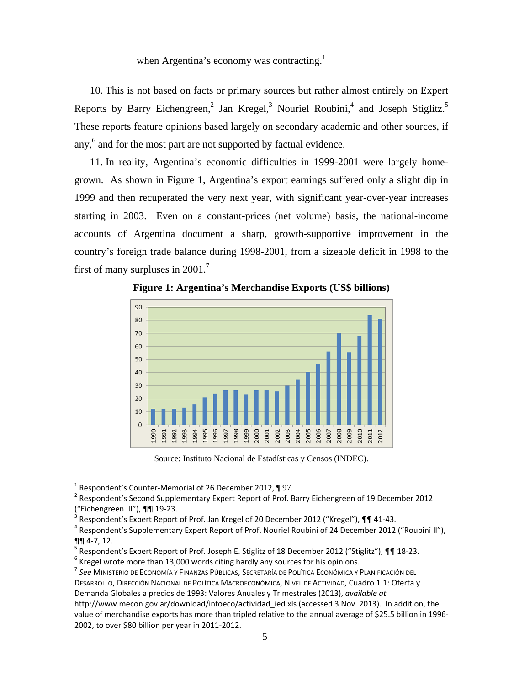when Argentina's economy was contracting.<sup>1</sup>

10. This is not based on facts or primary sources but rather almost entirely on Expert Reports by Barry Eichengreen,<sup>2</sup> Jan Kregel,<sup>3</sup> Nouriel Roubini,<sup>4</sup> and Joseph Stiglitz.<sup>5</sup> These reports feature opinions based largely on secondary academic and other sources, if any,<sup>6</sup> and for the most part are not supported by factual evidence.

11. In reality, Argentina's economic difficulties in 1999-2001 were largely homegrown. As shown in Figure 1, Argentina's export earnings suffered only a slight dip in 1999 and then recuperated the very next year, with significant year-over-year increases starting in 2003. Even on a constant-prices (net volume) basis, the national-income accounts of Argentina document a sharp, growth-supportive improvement in the country's foreign trade balance during 1998-2001, from a sizeable deficit in 1998 to the first of many surpluses in  $2001$ .<sup>7</sup>



**Figure 1: Argentina's Merchandise Exports (US\$ billions)** 

Source: Instituto Nacional de Estadísticas y Censos (INDEC).

<sup>&</sup>lt;sup>1</sup> Respondent's Counter-Memorial of 26 December 2012, ¶ 97.<br><sup>2</sup> Respondent's Second Supplementary Expert Report of Prof. I

<sup>&</sup>lt;sup>2</sup> Respondent's Second Supplementary Expert Report of Prof. Barry Eichengreen of 19 December 2012 ("Eichengreen III"), ¶¶ 19-23.

<sup>3</sup> Respondent's Expert Report of Prof. Jan Kregel of 20 December 2012 ("Kregel"), 11 41-43.

<sup>&</sup>lt;sup>4</sup> Respondent's Supplementary Expert Report of Prof. Nouriel Roubini of 24 December 2012 ("Roubini II"), ¶¶ 4-7, 12.

<sup>5</sup> Respondent's Expert Report of Prof. Joseph E. Stiglitz of 18 December 2012 ("Stiglitz"), ¶¶ 18-23.

 $<sup>6</sup>$  Kregel wrote more than 13,000 words citing hardly any sources for his opinions.</sup>

<sup>7</sup> *See* MINISTERIO DE ECONOMÍA Y FINANZAS PÚBLICAS, SECRETARÍA DE POLÍTICA ECONÓMICA Y PLANIFICACIÓN DEL DESARROLLO, DIRECCIÓN NACIONAL DE POLÍTICA MACROECONÓMICA, NIVEL DE ACTIVIDAD, Cuadro 1.1: Oferta y Demanda Globales a precios de 1993: Valores Anuales y Trimestrales (2013), *available at* http://www.mecon.gov.ar/download/infoeco/actividad ied.xls (accessed 3 Nov. 2013). In addition, the value of merchandise exports has more than tripled relative to the annual average of \$25.5 billion in 1996- 2002, to over \$80 billion per year in 2011-2012.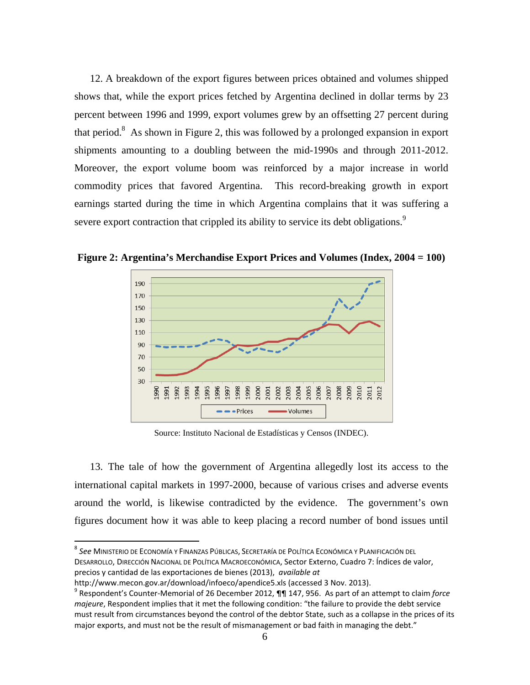12. A breakdown of the export figures between prices obtained and volumes shipped shows that, while the export prices fetched by Argentina declined in dollar terms by 23 percent between 1996 and 1999, export volumes grew by an offsetting 27 percent during that period.<sup>8</sup> As shown in Figure 2, this was followed by a prolonged expansion in export shipments amounting to a doubling between the mid-1990s and through 2011-2012. Moreover, the export volume boom was reinforced by a major increase in world commodity prices that favored Argentina. This record-breaking growth in export earnings started during the time in which Argentina complains that it was suffering a severe export contraction that crippled its ability to service its debt obligations.<sup>9</sup>

**Figure 2: Argentina's Merchandise Export Prices and Volumes (Index, 2004 = 100)** 



Source: Instituto Nacional de Estadísticas y Censos (INDEC).

13. The tale of how the government of Argentina allegedly lost its access to the international capital markets in 1997-2000, because of various crises and adverse events around the world, is likewise contradicted by the evidence. The government's own figures document how it was able to keep placing a record number of bond issues until

<sup>8</sup> *See* MINISTERIO DE ECONOMÍA Y FINANZAS PÚBLICAS, SECRETARÍA DE POLÍTICA ECONÓMICA Y PLANIFICACIÓN DEL DESARROLLO, DIRECCIÓN NACIONAL DE POLÍTICA MACROECONÓMICA, Sector Externo, Cuadro 7: Índices de valor, precios y cantidad de las exportaciones de bienes (2013), *available at*

http://www.mecon.gov.ar/download/infoeco/apendice5.xls (accessed 3 Nov. 2013).

Respondent's Counter-Memorial of 26 December 2012, ¶¶ 147, 956. As part of an attempt to claim *force majeure*, Respondent implies that it met the following condition: "the failure to provide the debt service must result from circumstances beyond the control of the debtor State, such as a collapse in the prices of its major exports, and must not be the result of mismanagement or bad faith in managing the debt."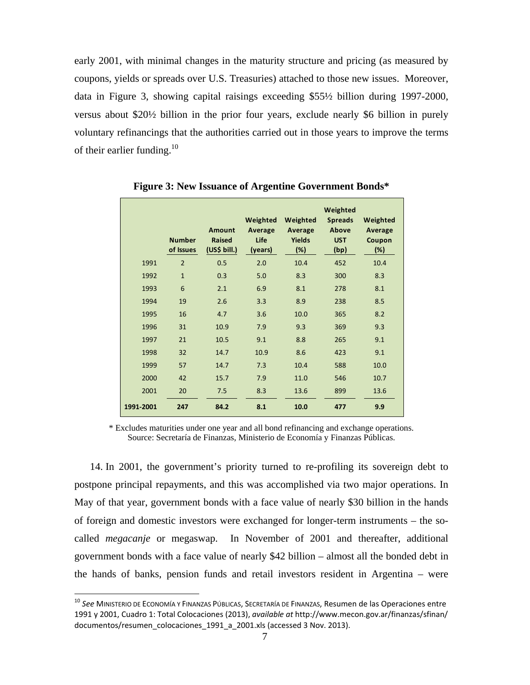early 2001, with minimal changes in the maturity structure and pricing (as measured by coupons, yields or spreads over U.S. Treasuries) attached to those new issues. Moreover, data in Figure 3, showing capital raisings exceeding \$55½ billion during 1997-2000, versus about \$20½ billion in the prior four years, exclude nearly \$6 billion in purely voluntary refinancings that the authorities carried out in those years to improve the terms of their earlier funding.<sup>10</sup>

|           | <b>Number</b><br>of Issues | <b>Amount</b><br><b>Raised</b><br>(US\$ bill.) | Weighted<br>Average<br>Life<br>(years) | Weighted<br>Average<br><b>Yields</b><br>$(\%)$ | Weighted<br><b>Spreads</b><br>Above<br><b>UST</b><br>(bp) | Weighted<br>Average<br>Coupon<br>$(\%)$ |
|-----------|----------------------------|------------------------------------------------|----------------------------------------|------------------------------------------------|-----------------------------------------------------------|-----------------------------------------|
| 1991      | $\overline{2}$             | 0.5                                            | 2.0                                    | 10.4                                           | 452                                                       | 10.4                                    |
| 1992      | $\mathbf{1}$               | 0.3                                            | 5.0                                    | 8.3                                            | 300                                                       | 8.3                                     |
| 1993      | 6                          | 2.1                                            | 6.9                                    | 8.1                                            | 278                                                       | 8.1                                     |
| 1994      | 19                         | 2.6                                            | 3.3                                    | 8.9                                            | 238                                                       | 8.5                                     |
| 1995      | 16                         | 4.7                                            | 3.6                                    | 10.0                                           | 365                                                       | 8.2                                     |
| 1996      | 31                         | 10.9                                           | 7.9                                    | 9.3                                            | 369                                                       | 9.3                                     |
| 1997      | 21                         | 10.5                                           | 9.1                                    | 8.8                                            | 265                                                       | 9.1                                     |
| 1998      | 32                         | 14.7                                           | 10.9                                   | 8.6                                            | 423                                                       | 9.1                                     |
| 1999      | 57                         | 14.7                                           | 7.3                                    | 10.4                                           | 588                                                       | 10.0                                    |
| 2000      | 42                         | 15.7                                           | 7.9                                    | 11.0                                           | 546                                                       | 10.7                                    |
| 2001      | 20                         | 7.5                                            | 8.3                                    | 13.6                                           | 899                                                       | 13.6                                    |
| 1991-2001 | 247                        | 84.2                                           | 8.1                                    | 10.0                                           | 477                                                       | 9.9                                     |

**Figure 3: New Issuance of Argentine Government Bonds\*** 

\* Excludes maturities under one year and all bond refinancing and exchange operations. Source: Secretaría de Finanzas, Ministerio de Economía y Finanzas Públicas.

14. In 2001, the government's priority turned to re-profiling its sovereign debt to postpone principal repayments, and this was accomplished via two major operations. In May of that year, government bonds with a face value of nearly \$30 billion in the hands of foreign and domestic investors were exchanged for longer-term instruments – the socalled *megacanje* or megaswap. In November of 2001 and thereafter, additional government bonds with a face value of nearly \$42 billion – almost all the bonded debt in the hands of banks, pension funds and retail investors resident in Argentina – were

 $\overline{a}$ 

<sup>10</sup> *See* MINISTERIO DE ECONOMÍA Y FINANZAS PÚBLICAS, SECRETARÍA DE FINANZAS, Resumen de las Operaciones entre 1991 y 2001, Cuadro 1: Total Colocaciones (2013), *available at* http://www.mecon.gov.ar/finanzas/sfinan/ documentos/resumen\_colocaciones\_1991\_a\_2001.xls (accessed 3 Nov. 2013).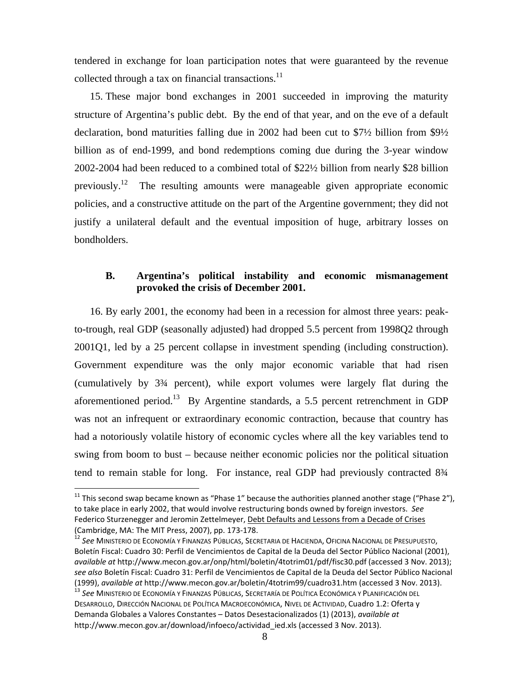tendered in exchange for loan participation notes that were guaranteed by the revenue collected through a tax on financial transactions.<sup>11</sup>

15. These major bond exchanges in 2001 succeeded in improving the maturity structure of Argentina's public debt. By the end of that year, and on the eve of a default declaration, bond maturities falling due in 2002 had been cut to \$7½ billion from \$9½ billion as of end-1999, and bond redemptions coming due during the 3-year window 2002-2004 had been reduced to a combined total of \$22½ billion from nearly \$28 billion previously.<sup>12</sup> The resulting amounts were manageable given appropriate economic policies, and a constructive attitude on the part of the Argentine government; they did not justify a unilateral default and the eventual imposition of huge, arbitrary losses on bondholders.

## **B. Argentina's political instability and economic mismanagement provoked the crisis of December 2001.**

16. By early 2001, the economy had been in a recession for almost three years: peakto-trough, real GDP (seasonally adjusted) had dropped 5.5 percent from 1998Q2 through 2001Q1, led by a 25 percent collapse in investment spending (including construction). Government expenditure was the only major economic variable that had risen (cumulatively by 3¾ percent), while export volumes were largely flat during the aforementioned period.<sup>13</sup> By Argentine standards, a 5.5 percent retrenchment in GDP was not an infrequent or extraordinary economic contraction, because that country has had a notoriously volatile history of economic cycles where all the key variables tend to swing from boom to bust – because neither economic policies nor the political situation tend to remain stable for long. For instance, real GDP had previously contracted 8¾

<sup>&</sup>lt;sup>11</sup> This second swap became known as "Phase 1" because the authorities planned another stage ("Phase 2"), to take place in early 2002, that would involve restructuring bonds owned by foreign investors. *See* Federico Sturzenegger and Jeromin Zettelmeyer, Debt Defaults and Lessons from a Decade of Crises (Cambridge, MA: The MIT Press, 2007), pp. 173-178.

<sup>12</sup> *See* MINISTERIO DE ECONOMÍA Y FINANZAS PÚBLICAS, SECRETARIA DE HACIENDA, OFICINA NACIONAL DE PRESUPUESTO, Boletín Fiscal: Cuadro 30: Perfil de Vencimientos de Capital de la Deuda del Sector Público Nacional (2001), *available at* http://www.mecon.gov.ar/onp/html/boletin/4totrim01/pdf/fisc30.pdf (accessed 3 Nov. 2013); *see also* Boletín Fiscal: Cuadro 31: Perfil de Vencimientos de Capital de la Deuda del Sector Público Nacional (1999), *available at* http://www.mecon.gov.ar/boletin/4totrim99/cuadro31.htm (accessed 3 Nov. 2013). 13 *See* MINISTERIO DE ECONOMÍA Y FINANZAS PÚBLICAS, SECRETARÍA DE POLÍTICA ECONÓMICA Y PLANIFICACIÓN DEL

DESARROLLO, DIRECCIÓN NACIONAL DE POLÍTICA MACROECONÓMICA, NIVEL DE ACTIVIDAD, Cuadro 1.2: Oferta y Demanda Globales a Valores Constantes – Datos Desestacionalizados (1) (2013), *available at*  http://www.mecon.gov.ar/download/infoeco/actividad ied.xls (accessed 3 Nov. 2013).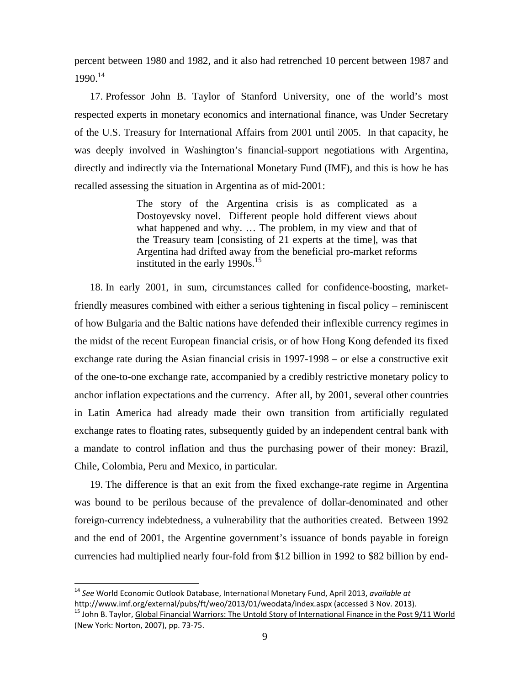percent between 1980 and 1982, and it also had retrenched 10 percent between 1987 and 1990.14

17. Professor John B. Taylor of Stanford University, one of the world's most respected experts in monetary economics and international finance, was Under Secretary of the U.S. Treasury for International Affairs from 2001 until 2005. In that capacity, he was deeply involved in Washington's financial-support negotiations with Argentina, directly and indirectly via the International Monetary Fund (IMF), and this is how he has recalled assessing the situation in Argentina as of mid-2001:

> The story of the Argentina crisis is as complicated as a Dostoyevsky novel. Different people hold different views about what happened and why. … The problem, in my view and that of the Treasury team [consisting of 21 experts at the time], was that Argentina had drifted away from the beneficial pro-market reforms instituted in the early 1990s.<sup>15</sup>

18. In early 2001, in sum, circumstances called for confidence-boosting, marketfriendly measures combined with either a serious tightening in fiscal policy – reminiscent of how Bulgaria and the Baltic nations have defended their inflexible currency regimes in the midst of the recent European financial crisis, or of how Hong Kong defended its fixed exchange rate during the Asian financial crisis in 1997-1998 – or else a constructive exit of the one-to-one exchange rate, accompanied by a credibly restrictive monetary policy to anchor inflation expectations and the currency. After all, by 2001, several other countries in Latin America had already made their own transition from artificially regulated exchange rates to floating rates, subsequently guided by an independent central bank with a mandate to control inflation and thus the purchasing power of their money: Brazil, Chile, Colombia, Peru and Mexico, in particular.

19. The difference is that an exit from the fixed exchange-rate regime in Argentina was bound to be perilous because of the prevalence of dollar-denominated and other foreign-currency indebtedness, a vulnerability that the authorities created. Between 1992 and the end of 2001, the Argentine government's issuance of bonds payable in foreign currencies had multiplied nearly four-fold from \$12 billion in 1992 to \$82 billion by end-

<sup>&</sup>lt;sup>14</sup> See World Economic Outlook Database, International Monetary Fund, April 2013, *available at*<br>http://www.imf.org/external/pubs/ft/weo/2013/01/weodata/index.aspx (accessed 3 Nov. 2013).

<sup>&</sup>lt;sup>15</sup> John B. Tavlor, Global Financial Warriors: The Untold Story of International Finance in the Post 9/11 World (New York: Norton, 2007), pp. 73-75.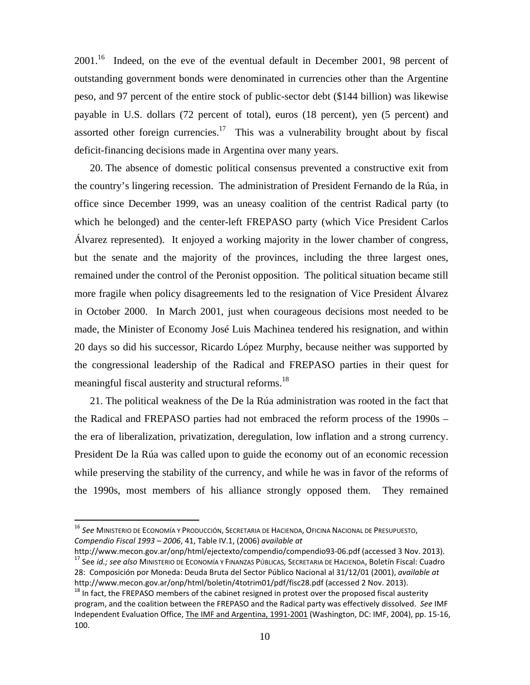$2001<sup>16</sup>$  Indeed, on the eve of the eventual default in December 2001, 98 percent of outstanding government bonds were denominated in currencies other than the Argentine peso, and 97 percent of the entire stock of public-sector debt (\$144 billion) was likewise payable in U.S. dollars (72 percent of total), euros (18 percent), yen (5 percent) and assorted other foreign currencies.<sup>17</sup> This was a vulnerability brought about by fiscal deficit-financing decisions made in Argentina over many years.

20. The absence of domestic political consensus prevented a constructive exit from the country's lingering recession. The administration of President Fernando de la Rúa, in office since December 1999, was an uneasy coalition of the centrist Radical party (to which he belonged) and the center-left FREPASO party (which Vice President Carlos Álvarez represented). It enjoyed a working majority in the lower chamber of congress, but the senate and the majority of the provinces, including the three largest ones, remained under the control of the Peronist opposition. The political situation became still more fragile when policy disagreements led to the resignation of Vice President Álvarez in October 2000. In March 2001, just when courageous decisions most needed to be made, the Minister of Economy José Luis Machinea tendered his resignation, and within 20 days so did his successor, Ricardo López Murphy, because neither was supported by the congressional leadership of the Radical and FREPASO parties in their quest for meaningful fiscal austerity and structural reforms.<sup>18</sup>

21. The political weakness of the De la Rúa administration was rooted in the fact that the Radical and FREPASO parties had not embraced the reform process of the 1990s – the era of liberalization, privatization, deregulation, low inflation and a strong currency. President De la Rúa was called upon to guide the economy out of an economic recession while preserving the stability of the currency, and while he was in favor of the reforms of the 1990s, most members of his alliance strongly opposed them. They remained

l

<sup>16</sup> *See* MINISTERIO DE ECONOMÍA Y PRODUCCIÓN, SECRETARIA DE HACIENDA, OFICINA NACIONAL DE PRESUPUESTO, *Compendio Fiscal 1993 – 2006*, 41, Table IV.1, (2006) *available at*

http://www.mecon.gov.ar/onp/html/ejectexto/compendio/compendio93-06.pdf (accessed 3 Nov. 2013).<br><sup>17</sup> See *id.; see also* MINISTERIO DE ECONOMÍA Y FINANZAS PÚBLICAS, SECRETARIA DE HACIENDA, Boletín Fiscal: Cuadro 28: Composición por Moneda: Deuda Bruta del Sector Público Nacional al 31/12/01 (2001), *available at* http://www.mecon.gov.ar/onp/html/boletin/4totrim01/pdf/fisc28.pdf (accessed 2 Nov. 2013).<br><sup>18</sup> In fact, the FREPASO members of the cabinet resigned in protest over the proposed fiscal austerity

program, and the coalition between the FREPASO and the Radical party was effectively dissolved. *See* IMF Independent Evaluation Office, The IMF and Argentina, 1991-2001 (Washington, DC: IMF, 2004), pp. 15-16, 100.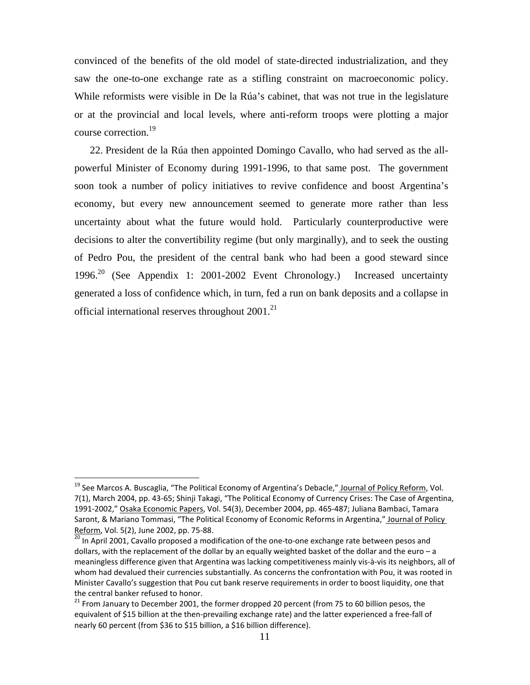convinced of the benefits of the old model of state-directed industrialization, and they saw the one-to-one exchange rate as a stifling constraint on macroeconomic policy. While reformists were visible in De la Rúa's cabinet, that was not true in the legislature or at the provincial and local levels, where anti-reform troops were plotting a major course correction.19

22. President de la Rúa then appointed Domingo Cavallo, who had served as the allpowerful Minister of Economy during 1991-1996, to that same post. The government soon took a number of policy initiatives to revive confidence and boost Argentina's economy, but every new announcement seemed to generate more rather than less uncertainty about what the future would hold. Particularly counterproductive were decisions to alter the convertibility regime (but only marginally), and to seek the ousting of Pedro Pou, the president of the central bank who had been a good steward since 1996.20 (See Appendix 1: 2001-2002 Event Chronology.) Increased uncertainty generated a loss of confidence which, in turn, fed a run on bank deposits and a collapse in official international reserves throughout  $2001$ .<sup>21</sup>

<sup>&</sup>lt;sup>19</sup> See Marcos A. Buscaglia, "The Political Economy of Argentina's Debacle," Journal of Policy Reform, Vol. 7(1), March 2004, pp. 43-65; Shinji Takagi, "The Political Economy of Currency Crises: The Case of Argentina, 1991-2002," Osaka Economic Papers, Vol. 54(3), December 2004, pp. 465-487; Juliana Bambaci, Tamara Saront, & Mariano Tommasi, "The Political Economy of Economic Reforms in Argentina," Journal of Policy Reform, Vol. 5(2), June 2002, pp. 75-88.

<sup>&</sup>lt;sup>20</sup> In April 2001, Cavallo proposed a modification of the one-to-one exchange rate between pesos and dollars, with the replacement of the dollar by an equally weighted basket of the dollar and the euro – a meaningless difference given that Argentina was lacking competitiveness mainly vis-à-vis its neighbors, all of whom had devalued their currencies substantially. As concerns the confrontation with Pou, it was rooted in Minister Cavallo's suggestion that Pou cut bank reserve requirements in order to boost liquidity, one that the central banker refused to honor.

<sup>&</sup>lt;sup>21</sup> From January to December 2001, the former dropped 20 percent (from 75 to 60 billion pesos, the equivalent of \$15 billion at the then-prevailing exchange rate) and the latter experienced a free-fall of nearly 60 percent (from \$36 to \$15 billion, a \$16 billion difference).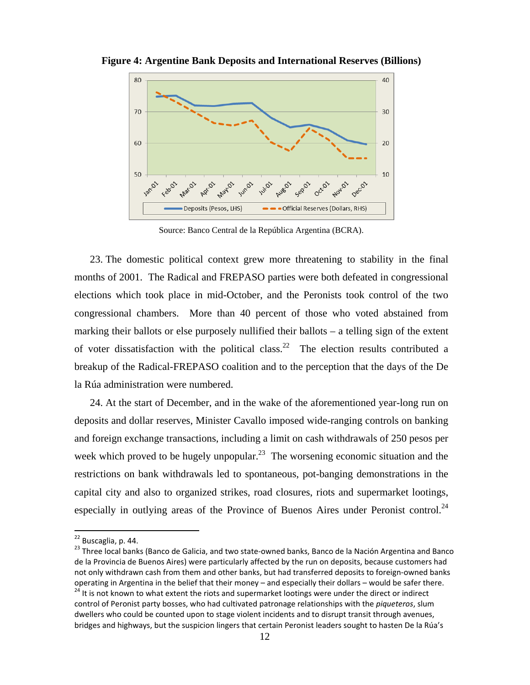

**Figure 4: Argentine Bank Deposits and International Reserves (Billions)**

Source: Banco Central de la República Argentina (BCRA).

23. The domestic political context grew more threatening to stability in the final months of 2001. The Radical and FREPASO parties were both defeated in congressional elections which took place in mid-October, and the Peronists took control of the two congressional chambers. More than 40 percent of those who voted abstained from marking their ballots or else purposely nullified their ballots – a telling sign of the extent of voter dissatisfaction with the political class.<sup>22</sup> The election results contributed a breakup of the Radical-FREPASO coalition and to the perception that the days of the De la Rúa administration were numbered.

24. At the start of December, and in the wake of the aforementioned year-long run on deposits and dollar reserves, Minister Cavallo imposed wide-ranging controls on banking and foreign exchange transactions, including a limit on cash withdrawals of 250 pesos per week which proved to be hugely unpopular.<sup>23</sup> The worsening economic situation and the restrictions on bank withdrawals led to spontaneous, pot-banging demonstrations in the capital city and also to organized strikes, road closures, riots and supermarket lootings, especially in outlying areas of the Province of Buenos Aires under Peronist control.<sup>24</sup>

<sup>&</sup>lt;sup>22</sup> Buscaglia, p. 44.

<sup>&</sup>lt;sup>23</sup> Three local banks (Banco de Galicia, and two state-owned banks, Banco de la Nación Argentina and Banco de la Provincia de Buenos Aires) were particularly affected by the run on deposits, because customers had not only withdrawn cash from them and other banks, but had transferred deposits to foreign-owned banks operating in Argentina in the belief that their money – and especially their dollars – would be safer there.

<sup>&</sup>lt;sup>24</sup> It is not known to what extent the riots and supermarket lootings were under the direct or indirect control of Peronist party bosses, who had cultivated patronage relationships with the *piqueteros*, slum dwellers who could be counted upon to stage violent incidents and to disrupt transit through avenues, bridges and highways, but the suspicion lingers that certain Peronist leaders sought to hasten De la Rúa's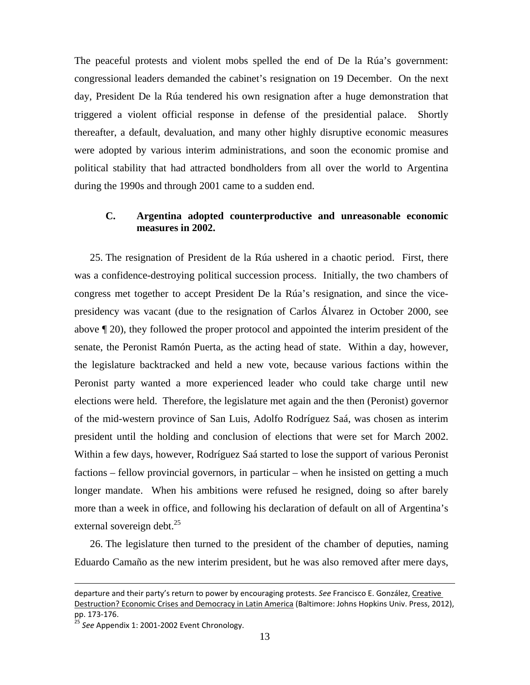The peaceful protests and violent mobs spelled the end of De la Rúa's government: congressional leaders demanded the cabinet's resignation on 19 December. On the next day, President De la Rúa tendered his own resignation after a huge demonstration that triggered a violent official response in defense of the presidential palace. Shortly thereafter, a default, devaluation, and many other highly disruptive economic measures were adopted by various interim administrations, and soon the economic promise and political stability that had attracted bondholders from all over the world to Argentina during the 1990s and through 2001 came to a sudden end.

# **C. Argentina adopted counterproductive and unreasonable economic measures in 2002.**

25. The resignation of President de la Rúa ushered in a chaotic period. First, there was a confidence-destroying political succession process. Initially, the two chambers of congress met together to accept President De la Rúa's resignation, and since the vicepresidency was vacant (due to the resignation of Carlos Álvarez in October 2000, see above ¶ 20), they followed the proper protocol and appointed the interim president of the senate, the Peronist Ramón Puerta, as the acting head of state. Within a day, however, the legislature backtracked and held a new vote, because various factions within the Peronist party wanted a more experienced leader who could take charge until new elections were held. Therefore, the legislature met again and the then (Peronist) governor of the mid-western province of San Luis, Adolfo Rodríguez Saá, was chosen as interim president until the holding and conclusion of elections that were set for March 2002. Within a few days, however, Rodríguez Saá started to lose the support of various Peronist factions – fellow provincial governors, in particular – when he insisted on getting a much longer mandate. When his ambitions were refused he resigned, doing so after barely more than a week in office, and following his declaration of default on all of Argentina's external sovereign debt. $^{25}$ 

26. The legislature then turned to the president of the chamber of deputies, naming Eduardo Camaño as the new interim president, but he was also removed after mere days,

departure and their party's return to power by encouraging protests. *See* Francisco E. González, Creative Destruction? Economic Crises and Democracy in Latin America (Baltimore: Johns Hopkins Univ. Press, 2012), pp. 173-176.

See Appendix 1: 2001-2002 Event Chronology.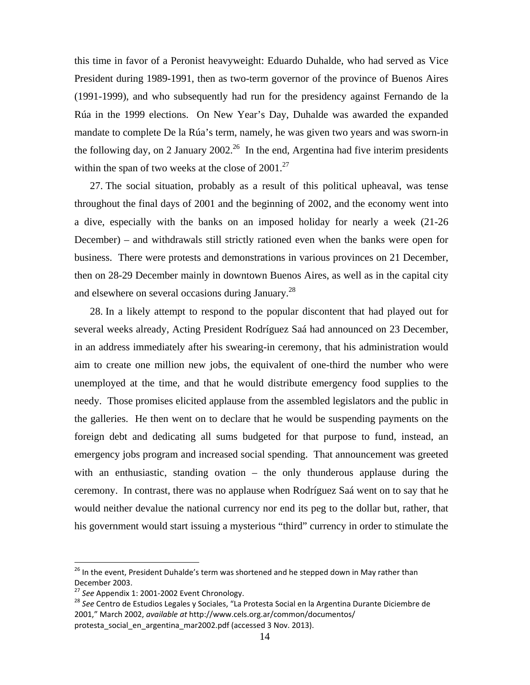this time in favor of a Peronist heavyweight: Eduardo Duhalde, who had served as Vice President during 1989-1991, then as two-term governor of the province of Buenos Aires (1991-1999), and who subsequently had run for the presidency against Fernando de la Rúa in the 1999 elections. On New Year's Day, Duhalde was awarded the expanded mandate to complete De la Rúa's term, namely, he was given two years and was sworn-in the following day, on 2 January 2002.<sup>26</sup> In the end, Argentina had five interim presidents within the span of two weeks at the close of  $2001$ .<sup>27</sup>

27. The social situation, probably as a result of this political upheaval, was tense throughout the final days of 2001 and the beginning of 2002, and the economy went into a dive, especially with the banks on an imposed holiday for nearly a week (21-26 December) – and withdrawals still strictly rationed even when the banks were open for business. There were protests and demonstrations in various provinces on 21 December, then on 28-29 December mainly in downtown Buenos Aires, as well as in the capital city and elsewhere on several occasions during January.28

28. In a likely attempt to respond to the popular discontent that had played out for several weeks already, Acting President Rodríguez Saá had announced on 23 December, in an address immediately after his swearing-in ceremony, that his administration would aim to create one million new jobs, the equivalent of one-third the number who were unemployed at the time, and that he would distribute emergency food supplies to the needy. Those promises elicited applause from the assembled legislators and the public in the galleries. He then went on to declare that he would be suspending payments on the foreign debt and dedicating all sums budgeted for that purpose to fund, instead, an emergency jobs program and increased social spending. That announcement was greeted with an enthusiastic, standing ovation – the only thunderous applause during the ceremony. In contrast, there was no applause when Rodríguez Saá went on to say that he would neither devalue the national currency nor end its peg to the dollar but, rather, that his government would start issuing a mysterious "third" currency in order to stimulate the

<sup>&</sup>lt;sup>26</sup> In the event, President Duhalde's term was shortened and he stepped down in May rather than December 2003.<br><sup>27</sup> See Appendix 1: 2001-2002 Event Chronology.

<sup>&</sup>lt;sup>28</sup> See Centro de Estudios Legales y Sociales, "La Protesta Social en la Argentina Durante Diciembre de 2001," March 2002, *available at* http://www.cels.org.ar/common/documentos/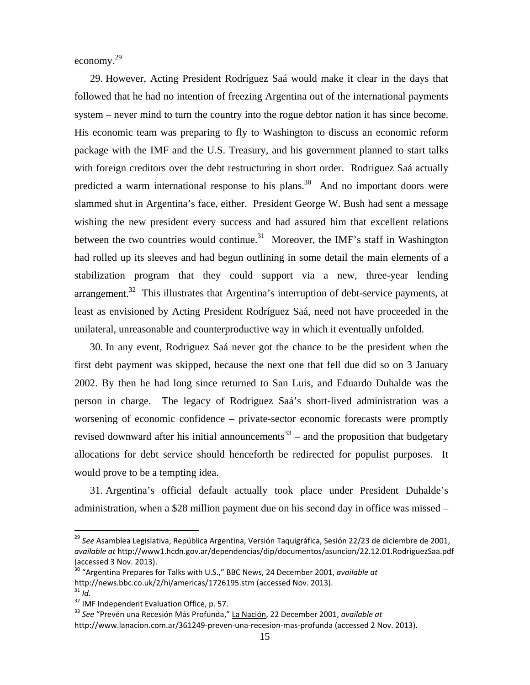economy.<sup>29</sup>

29. However, Acting President Rodríguez Saá would make it clear in the days that followed that he had no intention of freezing Argentina out of the international payments system – never mind to turn the country into the rogue debtor nation it has since become. His economic team was preparing to fly to Washington to discuss an economic reform package with the IMF and the U.S. Treasury, and his government planned to start talks with foreign creditors over the debt restructuring in short order. Rodriguez Saá actually predicted a warm international response to his plans.<sup>30</sup> And no important doors were slammed shut in Argentina's face, either. President George W. Bush had sent a message wishing the new president every success and had assured him that excellent relations between the two countries would continue.<sup>31</sup> Moreover, the IMF's staff in Washington had rolled up its sleeves and had begun outlining in some detail the main elements of a stabilization program that they could support via a new, three-year lending arrangement.<sup>32</sup> This illustrates that Argentina's interruption of debt-service payments, at least as envisioned by Acting President Rodríguez Saá, need not have proceeded in the unilateral, unreasonable and counterproductive way in which it eventually unfolded.

30. In any event, Rodriguez Saá never got the chance to be the president when the first debt payment was skipped, because the next one that fell due did so on 3 January 2002. By then he had long since returned to San Luis, and Eduardo Duhalde was the person in charge. The legacy of Rodriguez Saá's short-lived administration was a worsening of economic confidence – private-sector economic forecasts were promptly revised downward after his initial announcements<sup>33</sup> – and the proposition that budgetary allocations for debt service should henceforth be redirected for populist purposes. It would prove to be a tempting idea.

31. Argentina's official default actually took place under President Duhalde's administration, when a \$28 million payment due on his second day in office was missed –

<sup>&</sup>lt;sup>29</sup> See Asamblea Legislativa, República Argentina, Versión Taquigráfica, Sesión 22/23 de diciembre de 2001, *available at* http://www1.hcdn.gov.ar/dependencias/dip/documentos/asuncion/22.12.01.RodriguezSaa.pdf (accessed 3 Nov. 2013).

<sup>30 &</sup>quot;Argentina Prepares for Talks with U.S.," BBC News, 24 December 2001, *available at* http://news.bbc.co.uk/2/hi/americas/1726195.stm (accessed Nov. 2013).  $31$  *Id.* 

<sup>&</sup>lt;sup>32</sup> IMF Independent Evaluation Office, p. 57.

<sup>33</sup> *See* "Prevén una Recesión Más Profunda," La Nación, 22 December 2001, *available at* 

http://www.lanacion.com.ar/361249-preven-una-recesion-mas-profunda (accessed 2 Nov. 2013).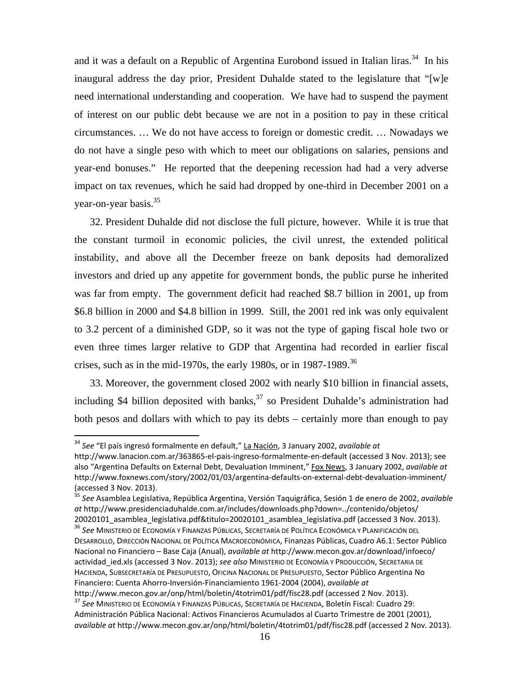and it was a default on a Republic of Argentina Eurobond issued in Italian liras.<sup>34</sup> In his inaugural address the day prior, President Duhalde stated to the legislature that "[w]e need international understanding and cooperation. We have had to suspend the payment of interest on our public debt because we are not in a position to pay in these critical circumstances. … We do not have access to foreign or domestic credit. … Nowadays we do not have a single peso with which to meet our obligations on salaries, pensions and year-end bonuses." He reported that the deepening recession had had a very adverse impact on tax revenues, which he said had dropped by one-third in December 2001 on a year-on-year basis.<sup>35</sup>

32. President Duhalde did not disclose the full picture, however. While it is true that the constant turmoil in economic policies, the civil unrest, the extended political instability, and above all the December freeze on bank deposits had demoralized investors and dried up any appetite for government bonds, the public purse he inherited was far from empty. The government deficit had reached \$8.7 billion in 2001, up from \$6.8 billion in 2000 and \$4.8 billion in 1999. Still, the 2001 red ink was only equivalent to 3.2 percent of a diminished GDP, so it was not the type of gaping fiscal hole two or even three times larger relative to GDP that Argentina had recorded in earlier fiscal crises, such as in the mid-1970s, the early 1980s, or in 1987-1989.<sup>36</sup>

33. Moreover, the government closed 2002 with nearly \$10 billion in financial assets, including \$4 billion deposited with banks,  $37$  so President Duhalde's administration had both pesos and dollars with which to pay its debts – certainly more than enough to pay

<sup>34</sup> *See* "El país ingresó formalmente en default," La Nación, 3 January 2002, *available at* 

http://www.lanacion.com.ar/363865-el-pais-ingreso-formalmente-en-default (accessed 3 Nov. 2013); see also "Argentina Defaults on External Debt, Devaluation Imminent," Fox News, 3 January 2002, *available at* http://www.foxnews.com/story/2002/01/03/argentina-defaults-on-external-debt-devaluation-imminent/ (accessed 3 Nov. 2013).

<sup>35</sup> *See* Asamblea Legislativa, República Argentina, Versión Taquigráfica, Sesión 1 de enero de 2002, *available at* http://www.presidenciaduhalde.com.ar/includes/downloads.php?down=../contenido/objetos/ 20020101\_asamblea\_legislativa.pdf&titulo=20020101\_asamblea\_legislativa.pdf (accessed 3 Nov. 2013). 36 *See* MINISTERIO DE ECONOMÍA Y FINANZAS PÚBLICAS, SECRETARÍA DE POLÍTICA ECONÓMICA Y PLANIFICACIÓN DEL

DESARROLLO, DIRECCIÓN NACIONAL DE POLÍTICA MACROECONÓMICA, Finanzas Públicas, Cuadro A6.1: Sector Público Nacional no Financiero – Base Caja (Anual), *available at* http://www.mecon.gov.ar/download/infoeco/ actividad\_ied.xls (accessed 3 Nov. 2013); *see also* MINISTERIO DE ECONOMÍA Y PRODUCCIÓN, SECRETARIA DE HACIENDA, SUBSECRETARÍA DE PRESUPUESTO, OFICINA NACIONAL DE PRESUPUESTO, Sector Público Argentina No Financiero: Cuenta Ahorro-Inversión-Financiamiento 1961-2004 (2004), *available at*

http://www.mecon.gov.ar/onp/html/boletin/4totrim01/pdf/fisc28.pdf (accessed 2 Nov. 2013).<br><sup>37</sup> See MINISTERIO DE ECONOMÍA Y FINANZAS PÚBLICAS, SECRETARÍA DE HACIENDA, Boletín Fiscal: Cuadro 29: Administración Pública Nacional: Activos Financieros Acumulados al Cuarto Trimestre de 2001 (2001), *available at* http://www.mecon.gov.ar/onp/html/boletin/4totrim01/pdf/fisc28.pdf (accessed 2 Nov. 2013).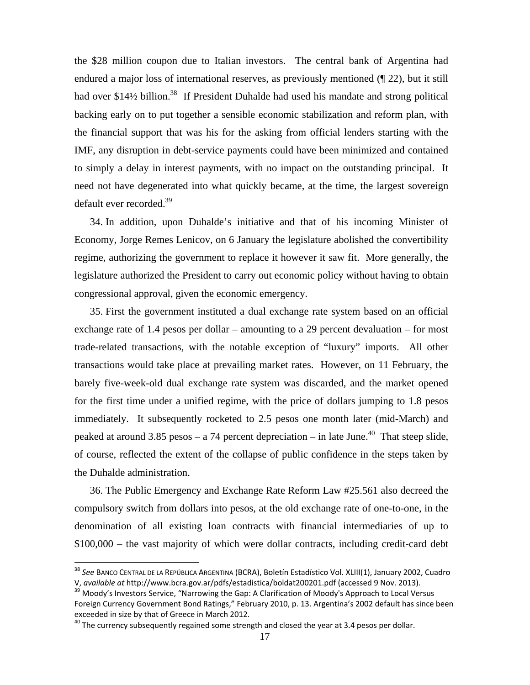the \$28 million coupon due to Italian investors. The central bank of Argentina had endured a major loss of international reserves, as previously mentioned (¶ 22), but it still had over \$14½ billion.<sup>38</sup> If President Duhalde had used his mandate and strong political backing early on to put together a sensible economic stabilization and reform plan, with the financial support that was his for the asking from official lenders starting with the IMF, any disruption in debt-service payments could have been minimized and contained to simply a delay in interest payments, with no impact on the outstanding principal. It need not have degenerated into what quickly became, at the time, the largest sovereign default ever recorded.<sup>39</sup>

34. In addition, upon Duhalde's initiative and that of his incoming Minister of Economy, Jorge Remes Lenicov, on 6 January the legislature abolished the convertibility regime, authorizing the government to replace it however it saw fit. More generally, the legislature authorized the President to carry out economic policy without having to obtain congressional approval, given the economic emergency.

35. First the government instituted a dual exchange rate system based on an official exchange rate of 1.4 pesos per dollar – amounting to a 29 percent devaluation – for most trade-related transactions, with the notable exception of "luxury" imports. All other transactions would take place at prevailing market rates. However, on 11 February, the barely five-week-old dual exchange rate system was discarded, and the market opened for the first time under a unified regime, with the price of dollars jumping to 1.8 pesos immediately. It subsequently rocketed to 2.5 pesos one month later (mid-March) and peaked at around 3.85 pesos – a 74 percent depreciation – in late June.<sup>40</sup> That steep slide, of course, reflected the extent of the collapse of public confidence in the steps taken by the Duhalde administration.

36. The Public Emergency and Exchange Rate Reform Law #25.561 also decreed the compulsory switch from dollars into pesos, at the old exchange rate of one-to-one, in the denomination of all existing loan contracts with financial intermediaries of up to \$100,000 – the vast majority of which were dollar contracts, including credit-card debt

<sup>38</sup> *See* BANCO CENTRAL DE LA REPÚBLICA ARGENTINA (BCRA), Boletín Estadístico Vol. XLIII(1), January 2002, Cuadro V, *available at* http://www.bcra.gov.ar/pdfs/estadistica/boldat200201.pdf (accessed 9 Nov. 2013).<br><sup>39</sup> Moody's Investors Service, "Narrowing the Gap: A Clarification of Moody's Approach to Local Versus

Foreign Currency Government Bond Ratings," February 2010, p. 13. Argentina's 2002 default has since been exceeded in size by that of Greece in March 2012.

 $40$  The currency subsequently regained some strength and closed the year at 3.4 pesos per dollar.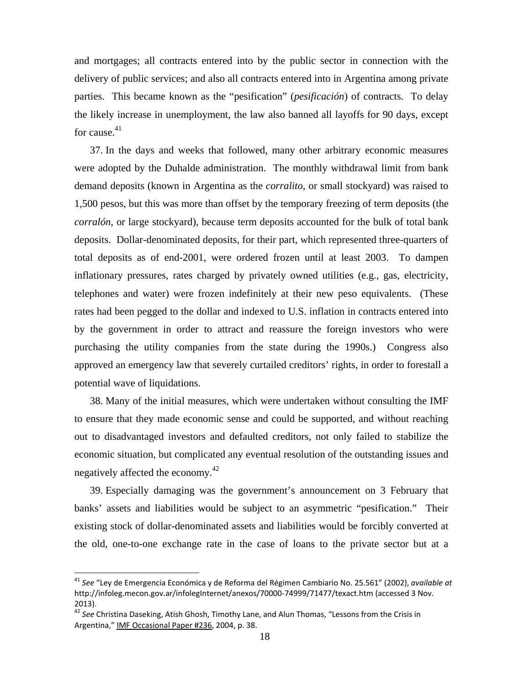and mortgages; all contracts entered into by the public sector in connection with the delivery of public services; and also all contracts entered into in Argentina among private parties. This became known as the "pesification" (*pesificación*) of contracts. To delay the likely increase in unemployment, the law also banned all layoffs for 90 days, except for cause. $41$ 

37. In the days and weeks that followed, many other arbitrary economic measures were adopted by the Duhalde administration. The monthly withdrawal limit from bank demand deposits (known in Argentina as the *corralito*, or small stockyard) was raised to 1,500 pesos, but this was more than offset by the temporary freezing of term deposits (the *corralón*, or large stockyard), because term deposits accounted for the bulk of total bank deposits. Dollar-denominated deposits, for their part, which represented three-quarters of total deposits as of end-2001, were ordered frozen until at least 2003. To dampen inflationary pressures, rates charged by privately owned utilities (e.g., gas, electricity, telephones and water) were frozen indefinitely at their new peso equivalents. (These rates had been pegged to the dollar and indexed to U.S. inflation in contracts entered into by the government in order to attract and reassure the foreign investors who were purchasing the utility companies from the state during the 1990s.) Congress also approved an emergency law that severely curtailed creditors' rights, in order to forestall a potential wave of liquidations.

38. Many of the initial measures, which were undertaken without consulting the IMF to ensure that they made economic sense and could be supported, and without reaching out to disadvantaged investors and defaulted creditors, not only failed to stabilize the economic situation, but complicated any eventual resolution of the outstanding issues and negatively affected the economy.42

39. Especially damaging was the government's announcement on 3 February that banks' assets and liabilities would be subject to an asymmetric "pesification." Their existing stock of dollar-denominated assets and liabilities would be forcibly converted at the old, one-to-one exchange rate in the case of loans to the private sector but at a

<sup>41</sup> *See* "Ley de Emergencia Económica y de Reforma del Régimen Cambiario No. 25.561" (2002), *available at*  http://infoleg.mecon.gov.ar/infolegInternet/anexos/70000-74999/71477/texact.htm (accessed 3 Nov. 2013).

<sup>42</sup> *See* Christina Daseking, Atish Ghosh, Timothy Lane, and Alun Thomas, "Lessons from the Crisis in Argentina," IMF Occasional Paper #236, 2004, p. 38.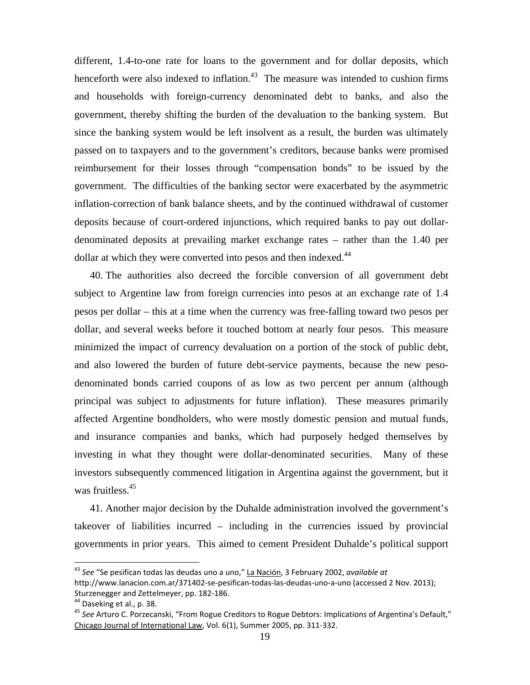different, 1.4-to-one rate for loans to the government and for dollar deposits, which henceforth were also indexed to inflation.<sup>43</sup> The measure was intended to cushion firms and households with foreign-currency denominated debt to banks, and also the government, thereby shifting the burden of the devaluation to the banking system. But since the banking system would be left insolvent as a result, the burden was ultimately passed on to taxpayers and to the government's creditors, because banks were promised reimbursement for their losses through "compensation bonds" to be issued by the government. The difficulties of the banking sector were exacerbated by the asymmetric inflation-correction of bank balance sheets, and by the continued withdrawal of customer deposits because of court-ordered injunctions, which required banks to pay out dollardenominated deposits at prevailing market exchange rates – rather than the 1.40 per dollar at which they were converted into pesos and then indexed.<sup>44</sup>

40. The authorities also decreed the forcible conversion of all government debt subject to Argentine law from foreign currencies into pesos at an exchange rate of 1.4 pesos per dollar – this at a time when the currency was free-falling toward two pesos per dollar, and several weeks before it touched bottom at nearly four pesos. This measure minimized the impact of currency devaluation on a portion of the stock of public debt, and also lowered the burden of future debt-service payments, because the new pesodenominated bonds carried coupons of as low as two percent per annum (although principal was subject to adjustments for future inflation). These measures primarily affected Argentine bondholders, who were mostly domestic pension and mutual funds, and insurance companies and banks, which had purposely hedged themselves by investing in what they thought were dollar-denominated securities. Many of these investors subsequently commenced litigation in Argentina against the government, but it was fruitless.<sup>45</sup>

41. Another major decision by the Duhalde administration involved the government's takeover of liabilities incurred – including in the currencies issued by provincial governments in prior years. This aimed to cement President Duhalde's political support

<sup>43</sup> *See* "Se pesifican todas las deudas uno a uno," La Nación, 3 February 2002, *available at*  http://www.lanacion.com.ar/371402-se-pesifican-todas-las-deudas-uno-a-uno (accessed 2 Nov. 2013); Sturzenegger and Zettelmeyer, pp. 182-186.

<sup>&</sup>lt;sup>44</sup> Daseking et al., p. 38.

<sup>45</sup> *See* Arturo C. Porzecanski, "From Rogue Creditors to Rogue Debtors: Implications of Argentina's Default," Chicago Journal of International Law, Vol. 6(1), Summer 2005, pp. 311-332.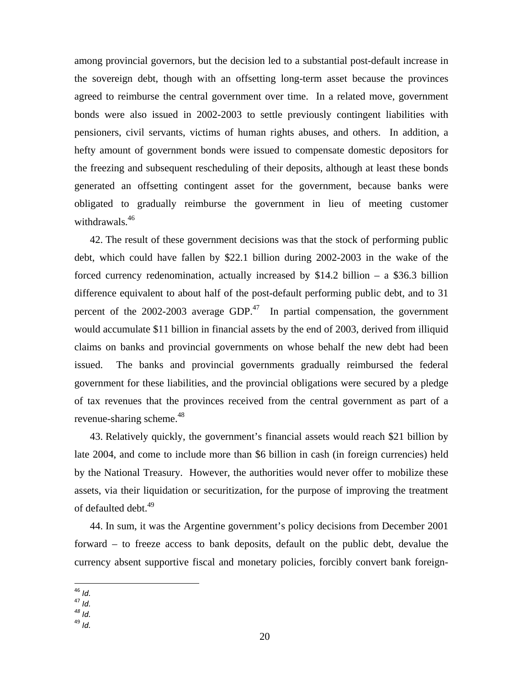among provincial governors, but the decision led to a substantial post-default increase in the sovereign debt, though with an offsetting long-term asset because the provinces agreed to reimburse the central government over time. In a related move, government bonds were also issued in 2002-2003 to settle previously contingent liabilities with pensioners, civil servants, victims of human rights abuses, and others. In addition, a hefty amount of government bonds were issued to compensate domestic depositors for the freezing and subsequent rescheduling of their deposits, although at least these bonds generated an offsetting contingent asset for the government, because banks were obligated to gradually reimburse the government in lieu of meeting customer withdrawals.<sup>46</sup>

42. The result of these government decisions was that the stock of performing public debt, which could have fallen by \$22.1 billion during 2002-2003 in the wake of the forced currency redenomination, actually increased by \$14.2 billion – a \$36.3 billion difference equivalent to about half of the post-default performing public debt, and to 31 percent of the  $2002-2003$  average GDP.<sup>47</sup> In partial compensation, the government would accumulate \$11 billion in financial assets by the end of 2003, derived from illiquid claims on banks and provincial governments on whose behalf the new debt had been issued. The banks and provincial governments gradually reimbursed the federal government for these liabilities, and the provincial obligations were secured by a pledge of tax revenues that the provinces received from the central government as part of a revenue-sharing scheme.<sup>48</sup>

43. Relatively quickly, the government's financial assets would reach \$21 billion by late 2004, and come to include more than \$6 billion in cash (in foreign currencies) held by the National Treasury. However, the authorities would never offer to mobilize these assets, via their liquidation or securitization, for the purpose of improving the treatment of defaulted debt.<sup>49</sup>

44. In sum, it was the Argentine government's policy decisions from December 2001 forward – to freeze access to bank deposits, default on the public debt, devalue the currency absent supportive fiscal and monetary policies, forcibly convert bank foreign-

46 *Id.* 47 *Id. 48 Id.* 

 $^{46}$ ld.

<sup>49</sup> *Id.*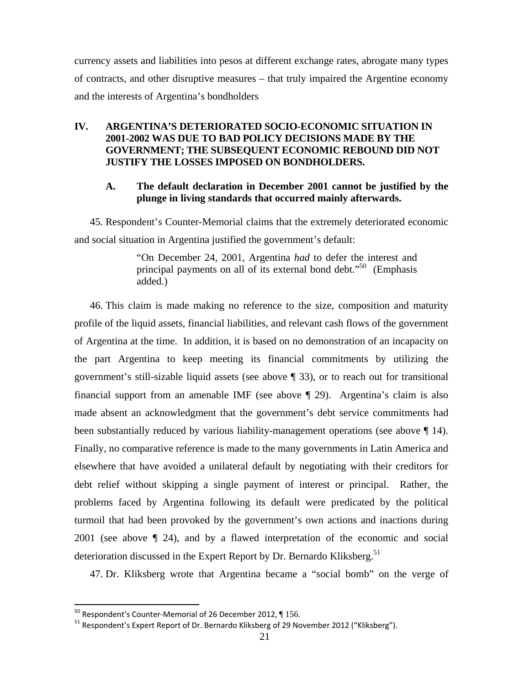currency assets and liabilities into pesos at different exchange rates, abrogate many types of contracts, and other disruptive measures – that truly impaired the Argentine economy and the interests of Argentina's bondholders

# **IV. ARGENTINA'S DETERIORATED SOCIO-ECONOMIC SITUATION IN 2001-2002 WAS DUE TO BAD POLICY DECISIONS MADE BY THE GOVERNMENT; THE SUBSEQUENT ECONOMIC REBOUND DID NOT JUSTIFY THE LOSSES IMPOSED ON BONDHOLDERS.**

# **A. The default declaration in December 2001 cannot be justified by the plunge in living standards that occurred mainly afterwards.**

45. Respondent's Counter-Memorial claims that the extremely deteriorated economic and social situation in Argentina justified the government's default:

> "On December 24, 2001, Argentina *had* to defer the interest and principal payments on all of its external bond debt."<sup>50</sup> (Emphasis added.)

46. This claim is made making no reference to the size, composition and maturity profile of the liquid assets, financial liabilities, and relevant cash flows of the government of Argentina at the time. In addition, it is based on no demonstration of an incapacity on the part Argentina to keep meeting its financial commitments by utilizing the government's still-sizable liquid assets (see above ¶ 33), or to reach out for transitional financial support from an amenable IMF (see above ¶ 29). Argentina's claim is also made absent an acknowledgment that the government's debt service commitments had been substantially reduced by various liability-management operations (see above  $\P$  14). Finally, no comparative reference is made to the many governments in Latin America and elsewhere that have avoided a unilateral default by negotiating with their creditors for debt relief without skipping a single payment of interest or principal. Rather, the problems faced by Argentina following its default were predicated by the political turmoil that had been provoked by the government's own actions and inactions during 2001 (see above ¶ 24), and by a flawed interpretation of the economic and social deterioration discussed in the Expert Report by Dr. Bernardo Kliksberg.<sup>51</sup>

47. Dr. Kliksberg wrote that Argentina became a "social bomb" on the verge of

 $50$  Respondent's Counter-Memorial of 26 December 2012,  $\P$  156.

<sup>&</sup>lt;sup>51</sup> Respondent's Expert Report of Dr. Bernardo Kliksberg of 29 November 2012 ("Kliksberg").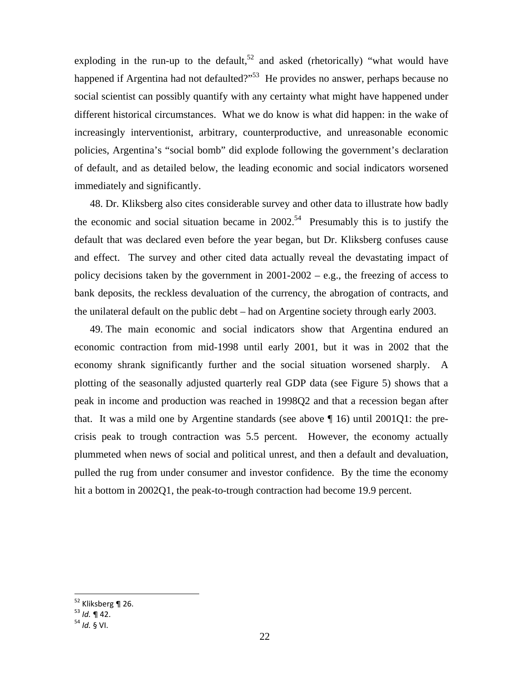exploding in the run-up to the default,<sup>52</sup> and asked (rhetorically) "what would have happened if Argentina had not defaulted?"<sup>53</sup> He provides no answer, perhaps because no social scientist can possibly quantify with any certainty what might have happened under different historical circumstances. What we do know is what did happen: in the wake of increasingly interventionist, arbitrary, counterproductive, and unreasonable economic policies, Argentina's "social bomb" did explode following the government's declaration of default, and as detailed below, the leading economic and social indicators worsened immediately and significantly.

48. Dr. Kliksberg also cites considerable survey and other data to illustrate how badly the economic and social situation became in  $2002<sup>54</sup>$  Presumably this is to justify the default that was declared even before the year began, but Dr. Kliksberg confuses cause and effect. The survey and other cited data actually reveal the devastating impact of policy decisions taken by the government in  $2001-2002 - e.g.,$  the freezing of access to bank deposits, the reckless devaluation of the currency, the abrogation of contracts, and the unilateral default on the public debt – had on Argentine society through early 2003.

49. The main economic and social indicators show that Argentina endured an economic contraction from mid-1998 until early 2001, but it was in 2002 that the economy shrank significantly further and the social situation worsened sharply. A plotting of the seasonally adjusted quarterly real GDP data (see Figure 5) shows that a peak in income and production was reached in 1998Q2 and that a recession began after that. It was a mild one by Argentine standards (see above ¶ 16) until 2001Q1: the precrisis peak to trough contraction was 5.5 percent. However, the economy actually plummeted when news of social and political unrest, and then a default and devaluation, pulled the rug from under consumer and investor confidence. By the time the economy hit a bottom in 2002Q1, the peak-to-trough contraction had become 19.9 percent.

 $\overline{a}$ 

<sup>&</sup>lt;sup>52</sup> Kliksberg ¶ 26.

<sup>&</sup>lt;sup>53</sup> *Id.* ¶ 42.<br><sup>54</sup> *Id.* § VI.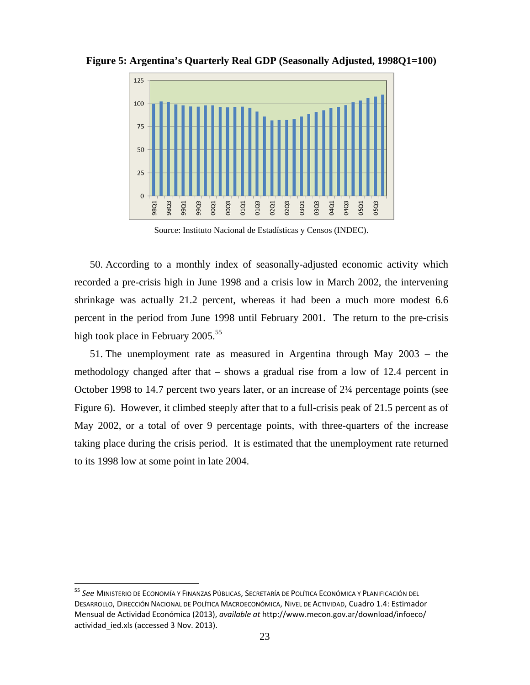

**Figure 5: Argentina's Quarterly Real GDP (Seasonally Adjusted, 1998Q1=100)** 

Source: Instituto Nacional de Estadísticas y Censos (INDEC).

50. According to a monthly index of seasonally-adjusted economic activity which recorded a pre-crisis high in June 1998 and a crisis low in March 2002, the intervening shrinkage was actually 21.2 percent, whereas it had been a much more modest 6.6 percent in the period from June 1998 until February 2001. The return to the pre-crisis high took place in February 2005.<sup>55</sup>

51. The unemployment rate as measured in Argentina through May 2003 – the methodology changed after that – shows a gradual rise from a low of 12.4 percent in October 1998 to 14.7 percent two years later, or an increase of 2¼ percentage points (see Figure 6). However, it climbed steeply after that to a full-crisis peak of 21.5 percent as of May 2002, or a total of over 9 percentage points, with three-quarters of the increase taking place during the crisis period. It is estimated that the unemployment rate returned to its 1998 low at some point in late 2004.

<sup>55</sup> *See* MINISTERIO DE ECONOMÍA Y FINANZAS PÚBLICAS, SECRETARÍA DE POLÍTICA ECONÓMICA Y PLANIFICACIÓN DEL DESARROLLO, DIRECCIÓN NACIONAL DE POLÍTICA MACROECONÓMICA, NIVEL DE ACTIVIDAD, Cuadro 1.4: Estimador Mensual de Actividad Económica (2013), *available at* http://www.mecon.gov.ar/download/infoeco/ actividad\_ied.xls (accessed 3 Nov. 2013).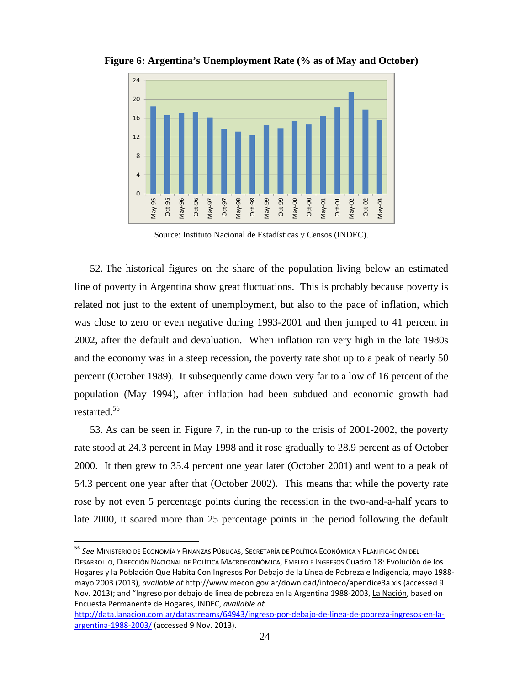

**Figure 6: Argentina's Unemployment Rate (% as of May and October)** 

Source: Instituto Nacional de Estadísticas y Censos (INDEC).

52. The historical figures on the share of the population living below an estimated line of poverty in Argentina show great fluctuations. This is probably because poverty is related not just to the extent of unemployment, but also to the pace of inflation, which was close to zero or even negative during 1993-2001 and then jumped to 41 percent in 2002, after the default and devaluation. When inflation ran very high in the late 1980s and the economy was in a steep recession, the poverty rate shot up to a peak of nearly 50 percent (October 1989). It subsequently came down very far to a low of 16 percent of the population (May 1994), after inflation had been subdued and economic growth had restarted.56

53. As can be seen in Figure 7, in the run-up to the crisis of 2001-2002, the poverty rate stood at 24.3 percent in May 1998 and it rose gradually to 28.9 percent as of October 2000. It then grew to 35.4 percent one year later (October 2001) and went to a peak of 54.3 percent one year after that (October 2002). This means that while the poverty rate rose by not even 5 percentage points during the recession in the two-and-a-half years to late 2000, it soared more than 25 percentage points in the period following the default

<sup>56</sup> *See* MINISTERIO DE ECONOMÍA Y FINANZAS PÚBLICAS, SECRETARÍA DE POLÍTICA ECONÓMICA Y PLANIFICACIÓN DEL DESARROLLO, DIRECCIÓN NACIONAL DE POLÍTICA MACROECONÓMICA, EMPLEO E INGRESOS Cuadro 18: Evolución de los Hogares y la Población Que Habita Con Ingresos Por Debajo de la Línea de Pobreza e Indigencia, mayo 1988 mayo 2003 (2013), *available at* http://www.mecon.gov.ar/download/infoeco/apendice3a.xls (accessed 9 Nov. 2013); and "Ingreso por debajo de linea de pobreza en la Argentina 1988-2003, La Nación, based on Encuesta Permanente de Hogares, INDEC, *available at*

http://data.lanacion.com.ar/datastreams/64943/ingreso-por-debajo-de-linea-de-pobreza-ingresos-en-laargentina-1988-2003/ (accessed 9 Nov. 2013).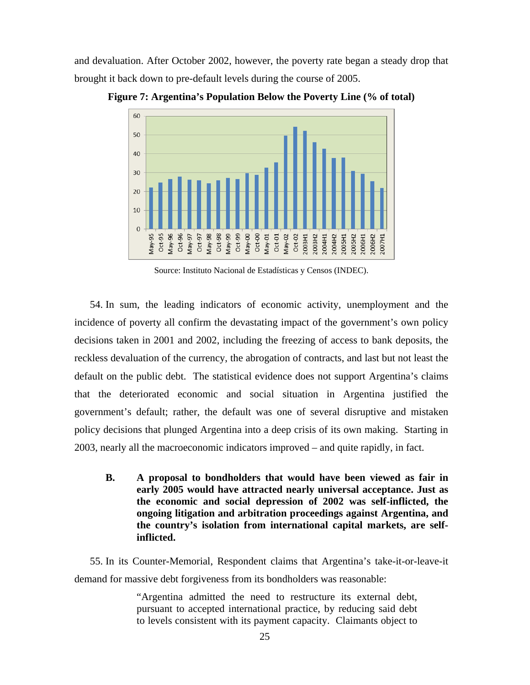and devaluation. After October 2002, however, the poverty rate began a steady drop that brought it back down to pre-default levels during the course of 2005.



**Figure 7: Argentina's Population Below the Poverty Line (% of total)**

Source: Instituto Nacional de Estadísticas y Censos (INDEC).

54. In sum, the leading indicators of economic activity, unemployment and the incidence of poverty all confirm the devastating impact of the government's own policy decisions taken in 2001 and 2002, including the freezing of access to bank deposits, the reckless devaluation of the currency, the abrogation of contracts, and last but not least the default on the public debt. The statistical evidence does not support Argentina's claims that the deteriorated economic and social situation in Argentina justified the government's default; rather, the default was one of several disruptive and mistaken policy decisions that plunged Argentina into a deep crisis of its own making. Starting in 2003, nearly all the macroeconomic indicators improved – and quite rapidly, in fact.

**B. A proposal to bondholders that would have been viewed as fair in early 2005 would have attracted nearly universal acceptance. Just as the economic and social depression of 2002 was self-inflicted, the ongoing litigation and arbitration proceedings against Argentina, and the country's isolation from international capital markets, are selfinflicted.** 

55. In its Counter-Memorial, Respondent claims that Argentina's take-it-or-leave-it demand for massive debt forgiveness from its bondholders was reasonable:

> "Argentina admitted the need to restructure its external debt, pursuant to accepted international practice, by reducing said debt to levels consistent with its payment capacity. Claimants object to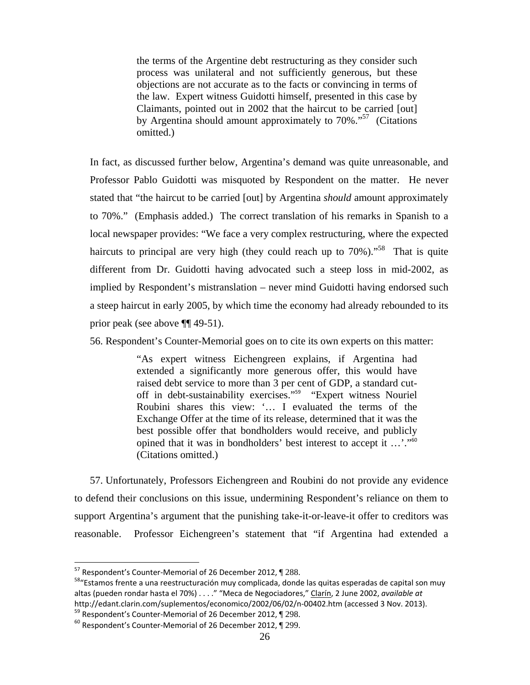the terms of the Argentine debt restructuring as they consider such process was unilateral and not sufficiently generous, but these objections are not accurate as to the facts or convincing in terms of the law. Expert witness Guidotti himself, presented in this case by Claimants, pointed out in 2002 that the haircut to be carried [out] by Argentina should amount approximately to  $70\%$ ."<sup>57</sup> (Citations omitted.)

In fact, as discussed further below, Argentina's demand was quite unreasonable, and Professor Pablo Guidotti was misquoted by Respondent on the matter. He never stated that "the haircut to be carried [out] by Argentina *should* amount approximately to 70%." (Emphasis added.) The correct translation of his remarks in Spanish to a local newspaper provides: "We face a very complex restructuring, where the expected haircuts to principal are very high (they could reach up to 70%)."<sup>58</sup> That is quite different from Dr. Guidotti having advocated such a steep loss in mid-2002, as implied by Respondent's mistranslation – never mind Guidotti having endorsed such a steep haircut in early 2005, by which time the economy had already rebounded to its prior peak (see above ¶¶ 49-51).

56. Respondent's Counter-Memorial goes on to cite its own experts on this matter:

"As expert witness Eichengreen explains, if Argentina had extended a significantly more generous offer, this would have raised debt service to more than 3 per cent of GDP, a standard cutoff in debt-sustainability exercises."<sup>59</sup> "Expert witness Nouriel Roubini shares this view: '… I evaluated the terms of the Exchange Offer at the time of its release, determined that it was the best possible offer that bondholders would receive, and publicly opined that it was in bondholders' best interest to accept it …'."<sup>60</sup> (Citations omitted.)

57. Unfortunately, Professors Eichengreen and Roubini do not provide any evidence to defend their conclusions on this issue, undermining Respondent's reliance on them to support Argentina's argument that the punishing take-it-or-leave-it offer to creditors was reasonable. Professor Eichengreen's statement that "if Argentina had extended a

<sup>&</sup>lt;sup>57</sup> Respondent's Counter-Memorial of 26 December 2012, 1288.

<sup>&</sup>lt;sup>58</sup> "Estamos frente a una reestructuración muy complicada, donde las quitas esperadas de capital son muy altas (pueden rondar hasta el 70%) . . . ." "Meca de Negociadores," Clarín, 2 June 2002, *available at* http://edant.clarin.com/suplementos/economico/2002/06/02/n-00402.htm (accessed 3 Nov. 2013).<br><sup>59</sup> Respondent's Counter-Memorial of 26 December 2012, ¶ 298.

 $50$  Respondent's Counter-Memorial of 26 December 2012,  $\P$  299.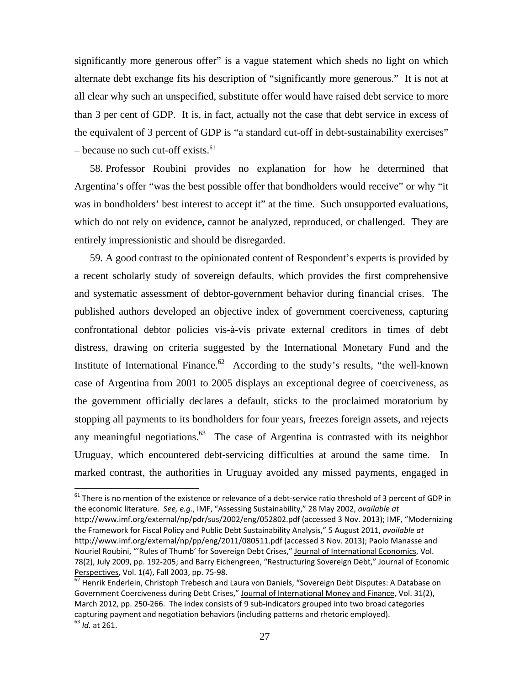significantly more generous offer" is a vague statement which sheds no light on which alternate debt exchange fits his description of "significantly more generous." It is not at all clear why such an unspecified, substitute offer would have raised debt service to more than 3 per cent of GDP. It is, in fact, actually not the case that debt service in excess of the equivalent of 3 percent of GDP is "a standard cut-off in debt-sustainability exercises"  $-$  because no such cut-off exists.<sup>61</sup>

58. Professor Roubini provides no explanation for how he determined that Argentina's offer "was the best possible offer that bondholders would receive" or why "it was in bondholders' best interest to accept it" at the time. Such unsupported evaluations, which do not rely on evidence, cannot be analyzed, reproduced, or challenged. They are entirely impressionistic and should be disregarded.

59. A good contrast to the opinionated content of Respondent's experts is provided by a recent scholarly study of sovereign defaults, which provides the first comprehensive and systematic assessment of debtor-government behavior during financial crises. The published authors developed an objective index of government coerciveness, capturing confrontational debtor policies vis-à-vis private external creditors in times of debt distress, drawing on criteria suggested by the International Monetary Fund and the Institute of International Finance.<sup>62</sup> According to the study's results, "the well-known" case of Argentina from 2001 to 2005 displays an exceptional degree of coerciveness, as the government officially declares a default, sticks to the proclaimed moratorium by stopping all payments to its bondholders for four years, freezes foreign assets, and rejects any meaningful negotiations. $63$  The case of Argentina is contrasted with its neighbor Uruguay, which encountered debt-servicing difficulties at around the same time. In marked contrast, the authorities in Uruguay avoided any missed payments, engaged in

 $^{61}$  There is no mention of the existence or relevance of a debt-service ratio threshold of 3 percent of GDP in the economic literature. *See, e.g.*, IMF, "Assessing Sustainability," 28 May 2002, *available at*  http://www.imf.org/external/np/pdr/sus/2002/eng/052802.pdf (accessed 3 Nov. 2013); IMF, "Modernizing the Framework for Fiscal Policy and Public Debt Sustainability Analysis," 5 August 2011, *available at* http://www.imf.org/external/np/pp/eng/2011/080511.pdf (accessed 3 Nov. 2013); Paolo Manasse and Nouriel Roubini, "'Rules of Thumb' for Sovereign Debt Crises," Journal of International Economics, Vol. 78(2), July 2009, pp. 192-205; and Barry Eichengreen, "Restructuring Sovereign Debt," Journal of Economic Perspectives, Vol. 1(4), Fall 2003, pp. 75-98.

<sup>62</sup> Henrik Enderlein, Christoph Trebesch and Laura von Daniels, "Sovereign Debt Disputes: A Database on Government Coerciveness during Debt Crises," Journal of International Money and Finance, Vol. 31(2), March 2012, pp. 250-266. The index consists of 9 sub-indicators grouped into two broad categories capturing payment and negotiation behaviors (including patterns and rhetoric employed). <sup>63</sup> *Id.* at 261.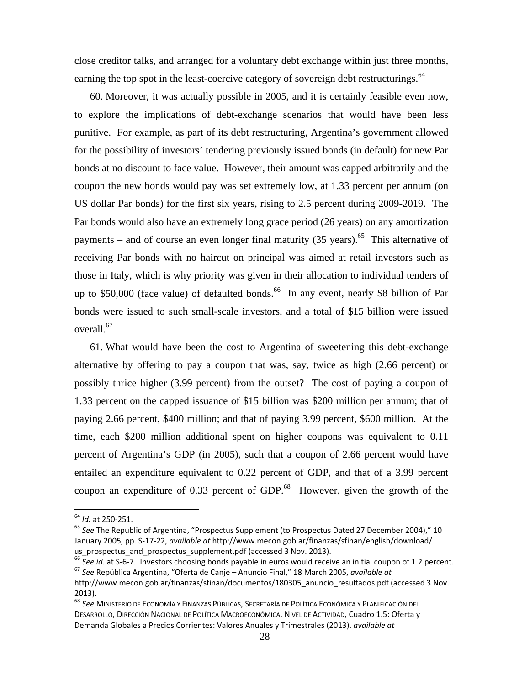close creditor talks, and arranged for a voluntary debt exchange within just three months, earning the top spot in the least-coercive category of sovereign debt restructurings.<sup>64</sup>

60. Moreover, it was actually possible in 2005, and it is certainly feasible even now, to explore the implications of debt-exchange scenarios that would have been less punitive. For example, as part of its debt restructuring, Argentina's government allowed for the possibility of investors' tendering previously issued bonds (in default) for new Par bonds at no discount to face value. However, their amount was capped arbitrarily and the coupon the new bonds would pay was set extremely low, at 1.33 percent per annum (on US dollar Par bonds) for the first six years, rising to 2.5 percent during 2009-2019. The Par bonds would also have an extremely long grace period (26 years) on any amortization payments – and of course an even longer final maturity  $(35 \text{ years})$ .<sup>65</sup> This alternative of receiving Par bonds with no haircut on principal was aimed at retail investors such as those in Italy, which is why priority was given in their allocation to individual tenders of up to \$50,000 (face value) of defaulted bonds.<sup>66</sup> In any event, nearly \$8 billion of Par bonds were issued to such small-scale investors, and a total of \$15 billion were issued overall.<sup>67</sup>

61. What would have been the cost to Argentina of sweetening this debt-exchange alternative by offering to pay a coupon that was, say, twice as high (2.66 percent) or possibly thrice higher (3.99 percent) from the outset? The cost of paying a coupon of 1.33 percent on the capped issuance of \$15 billion was \$200 million per annum; that of paying 2.66 percent, \$400 million; and that of paying 3.99 percent, \$600 million. At the time, each \$200 million additional spent on higher coupons was equivalent to 0.11 percent of Argentina's GDP (in 2005), such that a coupon of 2.66 percent would have entailed an expenditure equivalent to 0.22 percent of GDP, and that of a 3.99 percent coupon an expenditure of  $0.33$  percent of GDP.<sup>68</sup> However, given the growth of the

 $64$  *Id.* at 250-251.

<sup>&</sup>lt;sup>65</sup> See The Republic of Argentina, "Prospectus Supplement (to Prospectus Dated 27 December 2004)," 10 January 2005, pp. S-17-22, *available at* http://www.mecon.gob.ar/finanzas/sfinan/english/download/

us\_prospectus\_and\_prospectus\_supplement.pdf (accessed 3 Nov. 2013).<br><sup>66</sup> See id. at S-6-7. Investors choosing bonds payable in euros would receive an initial coupon of 1.2 percent.<br><sup>67</sup> See República Argentina, "Oferta de

http://www.mecon.gob.ar/finanzas/sfinan/documentos/180305 anuncio resultados.pdf (accessed 3 Nov. 2013).

<sup>68</sup> *See* MINISTERIO DE ECONOMÍA Y FINANZAS PÚBLICAS, SECRETARÍA DE POLÍTICA ECONÓMICA Y PLANIFICACIÓN DEL DESARROLLO, DIRECCIÓN NACIONAL DE POLÍTICA MACROECONÓMICA, NIVEL DE ACTIVIDAD, Cuadro 1.5: Oferta y Demanda Globales a Precios Corrientes: Valores Anuales y Trimestrales (2013), *available at*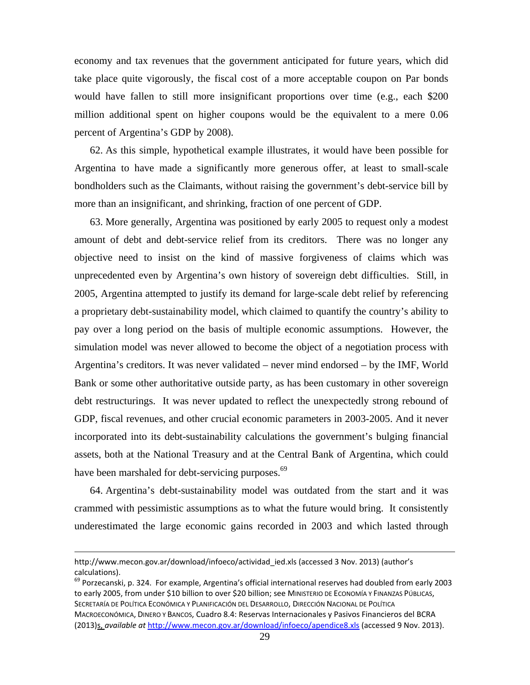economy and tax revenues that the government anticipated for future years, which did take place quite vigorously, the fiscal cost of a more acceptable coupon on Par bonds would have fallen to still more insignificant proportions over time (e.g., each \$200 million additional spent on higher coupons would be the equivalent to a mere 0.06 percent of Argentina's GDP by 2008).

62. As this simple, hypothetical example illustrates, it would have been possible for Argentina to have made a significantly more generous offer, at least to small-scale bondholders such as the Claimants, without raising the government's debt-service bill by more than an insignificant, and shrinking, fraction of one percent of GDP.

63. More generally, Argentina was positioned by early 2005 to request only a modest amount of debt and debt-service relief from its creditors. There was no longer any objective need to insist on the kind of massive forgiveness of claims which was unprecedented even by Argentina's own history of sovereign debt difficulties. Still, in 2005, Argentina attempted to justify its demand for large-scale debt relief by referencing a proprietary debt-sustainability model, which claimed to quantify the country's ability to pay over a long period on the basis of multiple economic assumptions. However, the simulation model was never allowed to become the object of a negotiation process with Argentina's creditors. It was never validated – never mind endorsed – by the IMF, World Bank or some other authoritative outside party, as has been customary in other sovereign debt restructurings. It was never updated to reflect the unexpectedly strong rebound of GDP, fiscal revenues, and other crucial economic parameters in 2003-2005. And it never incorporated into its debt-sustainability calculations the government's bulging financial assets, both at the National Treasury and at the Central Bank of Argentina, which could have been marshaled for debt-servicing purposes.<sup>69</sup>

64. Argentina's debt-sustainability model was outdated from the start and it was crammed with pessimistic assumptions as to what the future would bring. It consistently underestimated the large economic gains recorded in 2003 and which lasted through

 $\overline{\phantom{a}}$ 

<sup>69</sup> Porzecanski, p. 324. For example, Argentina's official international reserves had doubled from early 2003 to early 2005, from under \$10 billion to over \$20 billion; see MINISTERIO DE ECONOMÍA Y FINANZAS PÚBLICAS, SECRETARÍA DE POLÍTICA ECONÓMICA Y PLANIFICACIÓN DEL DESARROLLO, DIRECCIÓN NACIONAL DE POLÍTICA MACROECONÓMICA, DINERO Y BANCOS, Cuadro 8.4: Reservas Internacionales y Pasivos Financieros del BCRA (2013)s, *available at* http://www.mecon.gov.ar/download/infoeco/apendice8.xls (accessed 9 Nov. 2013).

http://www.mecon.gov.ar/download/infoeco/actividad\_ied.xls (accessed 3 Nov. 2013) (author's calculations).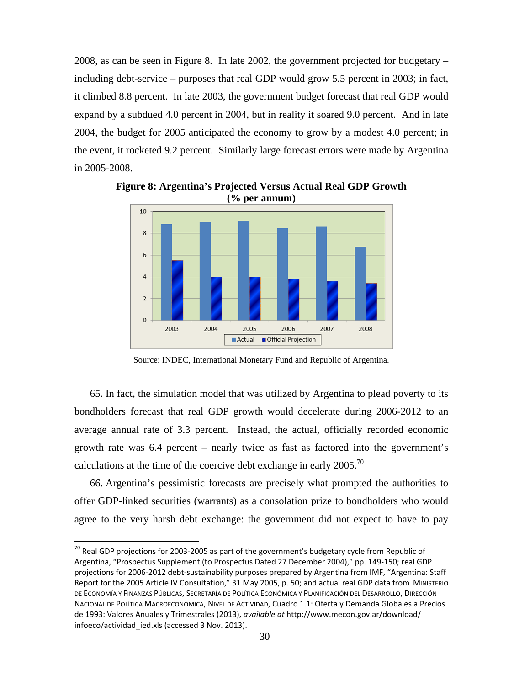2008, as can be seen in Figure 8. In late 2002, the government projected for budgetary – including debt-service – purposes that real GDP would grow 5.5 percent in 2003; in fact, it climbed 8.8 percent. In late 2003, the government budget forecast that real GDP would expand by a subdued 4.0 percent in 2004, but in reality it soared 9.0 percent. And in late 2004, the budget for 2005 anticipated the economy to grow by a modest 4.0 percent; in the event, it rocketed 9.2 percent. Similarly large forecast errors were made by Argentina in 2005-2008.



**Figure 8: Argentina's Projected Versus Actual Real GDP Growth (% per annum)**

Source: INDEC, International Monetary Fund and Republic of Argentina.

65. In fact, the simulation model that was utilized by Argentina to plead poverty to its bondholders forecast that real GDP growth would decelerate during 2006-2012 to an average annual rate of 3.3 percent. Instead, the actual, officially recorded economic growth rate was 6.4 percent – nearly twice as fast as factored into the government's calculations at the time of the coercive debt exchange in early  $2005$ .<sup>70</sup>

66. Argentina's pessimistic forecasts are precisely what prompted the authorities to offer GDP-linked securities (warrants) as a consolation prize to bondholders who would agree to the very harsh debt exchange: the government did not expect to have to pay

 $70$  Real GDP projections for 2003-2005 as part of the government's budgetary cycle from Republic of Argentina, "Prospectus Supplement (to Prospectus Dated 27 December 2004)," pp. 149-150; real GDP projections for 2006-2012 debt-sustainability purposes prepared by Argentina from IMF, "Argentina: Staff Report for the 2005 Article IV Consultation," 31 May 2005, p. 50; and actual real GDP data from MINISTERIO DE ECONOMÍA Y FINANZAS PÚBLICAS, SECRETARÍA DE POLÍTICA ECONÓMICA Y PLANIFICACIÓN DEL DESARROLLO, DIRECCIÓN NACIONAL DE POLÍTICA MACROECONÓMICA, NIVEL DE ACTIVIDAD, Cuadro 1.1: Oferta y Demanda Globales a Precios de 1993: Valores Anuales y Trimestrales (2013), *available at* http://www.mecon.gov.ar/download/ infoeco/actividad\_ied.xls (accessed 3 Nov. 2013).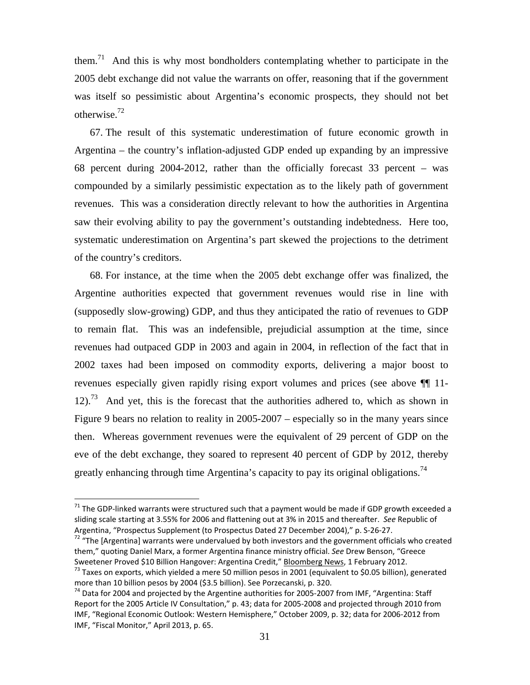them.<sup>71</sup> And this is why most bondholders contemplating whether to participate in the 2005 debt exchange did not value the warrants on offer, reasoning that if the government was itself so pessimistic about Argentina's economic prospects, they should not bet otherwise.72

67. The result of this systematic underestimation of future economic growth in Argentina – the country's inflation-adjusted GDP ended up expanding by an impressive 68 percent during 2004-2012, rather than the officially forecast 33 percent – was compounded by a similarly pessimistic expectation as to the likely path of government revenues. This was a consideration directly relevant to how the authorities in Argentina saw their evolving ability to pay the government's outstanding indebtedness. Here too, systematic underestimation on Argentina's part skewed the projections to the detriment of the country's creditors.

68. For instance, at the time when the 2005 debt exchange offer was finalized, the Argentine authorities expected that government revenues would rise in line with (supposedly slow-growing) GDP, and thus they anticipated the ratio of revenues to GDP to remain flat. This was an indefensible, prejudicial assumption at the time, since revenues had outpaced GDP in 2003 and again in 2004, in reflection of the fact that in 2002 taxes had been imposed on commodity exports, delivering a major boost to revenues especially given rapidly rising export volumes and prices (see above ¶¶ 11-  $12$ ).<sup>73</sup> And yet, this is the forecast that the authorities adhered to, which as shown in Figure 9 bears no relation to reality in 2005-2007 – especially so in the many years since then. Whereas government revenues were the equivalent of 29 percent of GDP on the eve of the debt exchange, they soared to represent 40 percent of GDP by 2012, thereby greatly enhancing through time Argentina's capacity to pay its original obligations.<sup>74</sup>

 $\overline{a}$ 

 $71$  The GDP-linked warrants were structured such that a payment would be made if GDP growth exceeded a sliding scale starting at 3.55% for 2006 and flattening out at 3% in 2015 and thereafter. *See* Republic of Argentina, "Prospectus Supplement (to Prospectus Dated 27 December 2004)," p. S-26-27.

 $72$  "The [Argentina] warrants were undervalued by both investors and the government officials who created them," quoting Daniel Marx, a former Argentina finance ministry official. *See* Drew Benson, "Greece

<sup>&</sup>lt;sup>73</sup> Taxes on exports, which yielded a mere 50 million pesos in 2001 (equivalent to \$0.05 billion), generated more than 10 billion pesos by 2004 (\$3.5 billion). See Porzecanski, p. 320.

 $^{74}$  Data for 2004 and projected by the Argentine authorities for 2005-2007 from IMF, "Argentina: Staff Report for the 2005 Article IV Consultation," p. 43; data for 2005-2008 and projected through 2010 from IMF, "Regional Economic Outlook: Western Hemisphere," October 2009, p. 32; data for 2006-2012 from IMF, "Fiscal Monitor," April 2013, p. 65.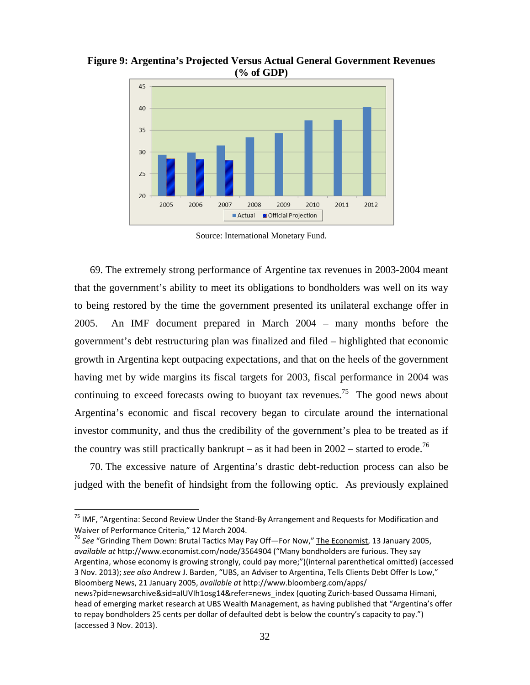**Figure 9: Argentina's Projected Versus Actual General Government Revenues (% of GDP)**



Source: International Monetary Fund.

69. The extremely strong performance of Argentine tax revenues in 2003-2004 meant that the government's ability to meet its obligations to bondholders was well on its way to being restored by the time the government presented its unilateral exchange offer in 2005. An IMF document prepared in March 2004 – many months before the government's debt restructuring plan was finalized and filed – highlighted that economic growth in Argentina kept outpacing expectations, and that on the heels of the government having met by wide margins its fiscal targets for 2003, fiscal performance in 2004 was continuing to exceed forecasts owing to buoyant tax revenues.<sup>75</sup> The good news about Argentina's economic and fiscal recovery began to circulate around the international investor community, and thus the credibility of the government's plea to be treated as if the country was still practically bankrupt – as it had been in  $2002$  – started to erode.<sup>76</sup>

70. The excessive nature of Argentina's drastic debt-reduction process can also be judged with the benefit of hindsight from the following optic. As previously explained

 $\overline{\phantom{a}}$ 

<sup>76</sup> *See* "Grinding Them Down: Brutal Tactics May Pay Off—For Now," The Economist, 13 January 2005, *available at* http://www.economist.com/node/3564904 ("Many bondholders are furious. They say Argentina, whose economy is growing strongly, could pay more;")(internal parenthetical omitted) (accessed 3 Nov. 2013); *see also* Andrew J. Barden, "UBS, an Adviser to Argentina, Tells Clients Debt Offer Is Low," Bloomberg News, 21 January 2005, *available at* http://www.bloomberg.com/apps/ news?pid=newsarchive&sid=aIUVIh1osg14&refer=news\_index (quoting Zurich-based Oussama Himani, head of emerging market research at UBS Wealth Management, as having published that "Argentina's offer to repay bondholders 25 cents per dollar of defaulted debt is below the country's capacity to pay.") (accessed 3 Nov. 2013).

<sup>&</sup>lt;sup>75</sup> IMF, "Argentina: Second Review Under the Stand-By Arrangement and Requests for Modification and Waiver of Performance Criteria," 12 March 2004.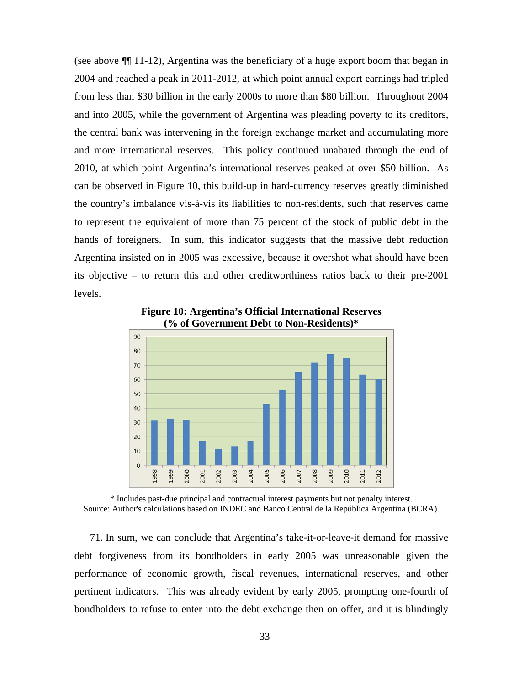(see above ¶¶ 11-12), Argentina was the beneficiary of a huge export boom that began in 2004 and reached a peak in 2011-2012, at which point annual export earnings had tripled from less than \$30 billion in the early 2000s to more than \$80 billion. Throughout 2004 and into 2005, while the government of Argentina was pleading poverty to its creditors, the central bank was intervening in the foreign exchange market and accumulating more and more international reserves. This policy continued unabated through the end of 2010, at which point Argentina's international reserves peaked at over \$50 billion. As can be observed in Figure 10, this build-up in hard-currency reserves greatly diminished the country's imbalance vis-à-vis its liabilities to non-residents, such that reserves came to represent the equivalent of more than 75 percent of the stock of public debt in the hands of foreigners. In sum, this indicator suggests that the massive debt reduction Argentina insisted on in 2005 was excessive, because it overshot what should have been its objective – to return this and other creditworthiness ratios back to their pre-2001 levels.



**Figure 10: Argentina's Official International Reserves (% of Government Debt to Non-Residents)\***

\* Includes past-due principal and contractual interest payments but not penalty interest. Source: Author's calculations based on INDEC and Banco Central de la República Argentina (BCRA).

71. In sum, we can conclude that Argentina's take-it-or-leave-it demand for massive debt forgiveness from its bondholders in early 2005 was unreasonable given the performance of economic growth, fiscal revenues, international reserves, and other pertinent indicators. This was already evident by early 2005, prompting one-fourth of bondholders to refuse to enter into the debt exchange then on offer, and it is blindingly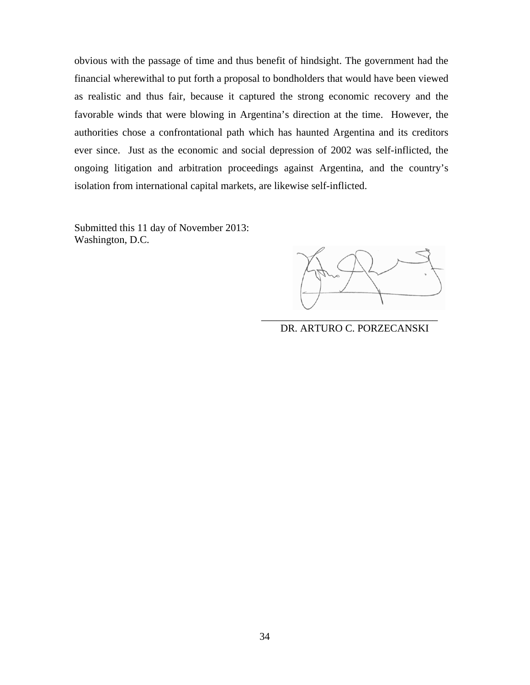obvious with the passage of time and thus benefit of hindsight. The government had the financial wherewithal to put forth a proposal to bondholders that would have been viewed as realistic and thus fair, because it captured the strong economic recovery and the favorable winds that were blowing in Argentina's direction at the time. However, the authorities chose a confrontational path which has haunted Argentina and its creditors ever since. Just as the economic and social depression of 2002 was self-inflicted, the ongoing litigation and arbitration proceedings against Argentina, and the country's isolation from international capital markets, are likewise self-inflicted.

Submitted this 11 day of November 2013: Washington, D.C.

\_\_\_\_\_\_\_\_\_\_\_\_\_\_\_\_\_\_\_\_\_\_\_\_\_\_\_\_\_\_\_\_\_\_ DR. ARTURO C. PORZECANSKI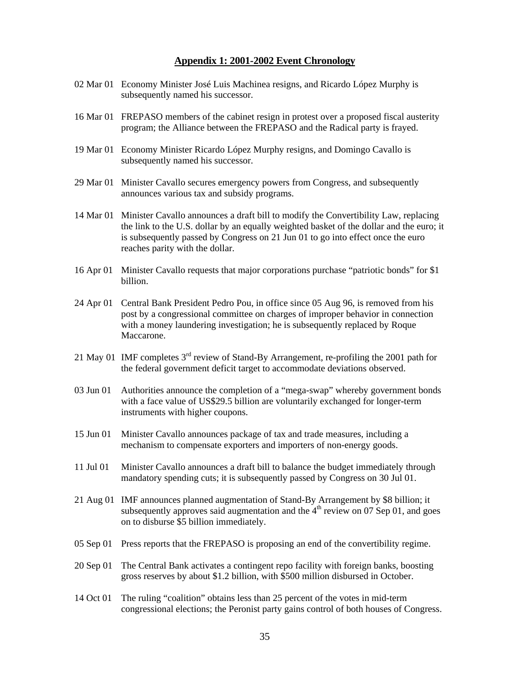### **Appendix 1: 2001-2002 Event Chronology**

- 02 Mar 01 Economy Minister José Luis Machinea resigns, and Ricardo López Murphy is subsequently named his successor.
- 16 Mar 01 FREPASO members of the cabinet resign in protest over a proposed fiscal austerity program; the Alliance between the FREPASO and the Radical party is frayed.
- 19 Mar 01 Economy Minister Ricardo López Murphy resigns, and Domingo Cavallo is subsequently named his successor.
- 29 Mar 01 Minister Cavallo secures emergency powers from Congress, and subsequently announces various tax and subsidy programs.
- 14 Mar 01 Minister Cavallo announces a draft bill to modify the Convertibility Law, replacing the link to the U.S. dollar by an equally weighted basket of the dollar and the euro; it is subsequently passed by Congress on 21 Jun 01 to go into effect once the euro reaches parity with the dollar.
- 16 Apr 01 Minister Cavallo requests that major corporations purchase "patriotic bonds" for \$1 billion.
- 24 Apr 01 Central Bank President Pedro Pou, in office since 05 Aug 96, is removed from his post by a congressional committee on charges of improper behavior in connection with a money laundering investigation; he is subsequently replaced by Roque Maccarone.
- 21 May 01 IMF completes 3rd review of Stand-By Arrangement, re-profiling the 2001 path for the federal government deficit target to accommodate deviations observed.
- 03 Jun 01 Authorities announce the completion of a "mega-swap" whereby government bonds with a face value of US\$29.5 billion are voluntarily exchanged for longer-term instruments with higher coupons.
- 15 Jun 01 Minister Cavallo announces package of tax and trade measures, including a mechanism to compensate exporters and importers of non-energy goods.
- 11 Jul 01 Minister Cavallo announces a draft bill to balance the budget immediately through mandatory spending cuts; it is subsequently passed by Congress on 30 Jul 01.
- 21 Aug 01 IMF announces planned augmentation of Stand-By Arrangement by \$8 billion; it subsequently approves said augmentation and the  $4<sup>th</sup>$  review on 07 Sep 01, and goes on to disburse \$5 billion immediately.
- 05 Sep 01 Press reports that the FREPASO is proposing an end of the convertibility regime.
- 20 Sep 01 The Central Bank activates a contingent repo facility with foreign banks, boosting gross reserves by about \$1.2 billion, with \$500 million disbursed in October.
- 14 Oct 01 The ruling "coalition" obtains less than 25 percent of the votes in mid-term congressional elections; the Peronist party gains control of both houses of Congress.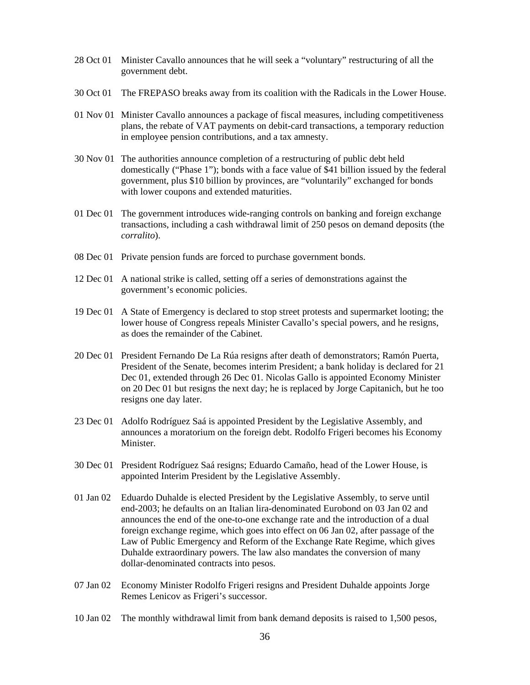- 28 Oct 01 Minister Cavallo announces that he will seek a "voluntary" restructuring of all the government debt.
- 30 Oct 01 The FREPASO breaks away from its coalition with the Radicals in the Lower House.
- 01 Nov 01 Minister Cavallo announces a package of fiscal measures, including competitiveness plans, the rebate of VAT payments on debit-card transactions, a temporary reduction in employee pension contributions, and a tax amnesty.
- 30 Nov 01 The authorities announce completion of a restructuring of public debt held domestically ("Phase 1"); bonds with a face value of \$41 billion issued by the federal government, plus \$10 billion by provinces, are "voluntarily" exchanged for bonds with lower coupons and extended maturities.
- 01 Dec 01 The government introduces wide-ranging controls on banking and foreign exchange transactions, including a cash withdrawal limit of 250 pesos on demand deposits (the *corralito*).
- 08 Dec 01 Private pension funds are forced to purchase government bonds.
- 12 Dec 01 A national strike is called, setting off a series of demonstrations against the government's economic policies.
- 19 Dec 01 A State of Emergency is declared to stop street protests and supermarket looting; the lower house of Congress repeals Minister Cavallo's special powers, and he resigns, as does the remainder of the Cabinet.
- 20 Dec 01 President Fernando De La Rúa resigns after death of demonstrators; Ramón Puerta, President of the Senate, becomes interim President; a bank holiday is declared for 21 Dec 01, extended through 26 Dec 01. Nicolas Gallo is appointed Economy Minister on 20 Dec 01 but resigns the next day; he is replaced by Jorge Capitanich, but he too resigns one day later.
- 23 Dec 01 Adolfo Rodríguez Saá is appointed President by the Legislative Assembly, and announces a moratorium on the foreign debt. Rodolfo Frigeri becomes his Economy Minister.
- 30 Dec 01 President Rodríguez Saá resigns; Eduardo Camaño, head of the Lower House, is appointed Interim President by the Legislative Assembly.
- 01 Jan 02 Eduardo Duhalde is elected President by the Legislative Assembly, to serve until end-2003; he defaults on an Italian lira-denominated Eurobond on 03 Jan 02 and announces the end of the one-to-one exchange rate and the introduction of a dual foreign exchange regime, which goes into effect on 06 Jan 02, after passage of the Law of Public Emergency and Reform of the Exchange Rate Regime, which gives Duhalde extraordinary powers. The law also mandates the conversion of many dollar-denominated contracts into pesos.
- 07 Jan 02 Economy Minister Rodolfo Frigeri resigns and President Duhalde appoints Jorge Remes Lenicov as Frigeri's successor.
- 10 Jan 02 The monthly withdrawal limit from bank demand deposits is raised to 1,500 pesos,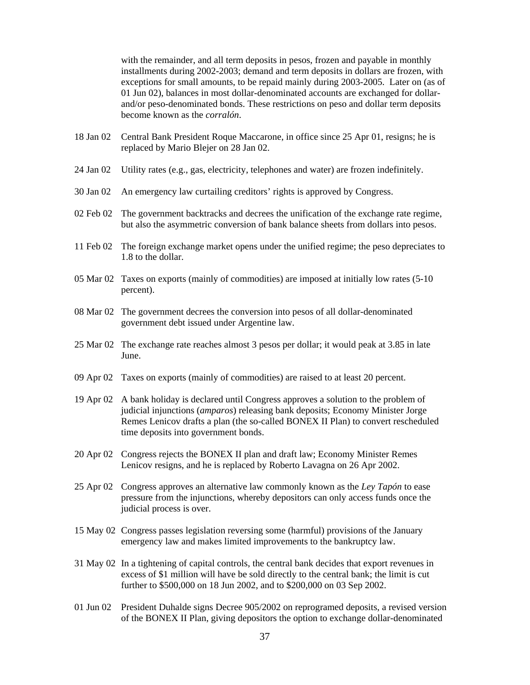with the remainder, and all term deposits in pesos, frozen and payable in monthly installments during 2002-2003; demand and term deposits in dollars are frozen, with exceptions for small amounts, to be repaid mainly during 2003-2005. Later on (as of 01 Jun 02), balances in most dollar-denominated accounts are exchanged for dollarand/or peso-denominated bonds. These restrictions on peso and dollar term deposits become known as the *corralón*.

- 18 Jan 02 Central Bank President Roque Maccarone, in office since 25 Apr 01, resigns; he is replaced by Mario Blejer on 28 Jan 02.
- 24 Jan 02 Utility rates (e.g., gas, electricity, telephones and water) are frozen indefinitely.
- 30 Jan 02 An emergency law curtailing creditors' rights is approved by Congress.
- 02 Feb 02 The government backtracks and decrees the unification of the exchange rate regime, but also the asymmetric conversion of bank balance sheets from dollars into pesos.
- 11 Feb 02 The foreign exchange market opens under the unified regime; the peso depreciates to 1.8 to the dollar.
- 05 Mar 02 Taxes on exports (mainly of commodities) are imposed at initially low rates (5-10 percent).
- 08 Mar 02 The government decrees the conversion into pesos of all dollar-denominated government debt issued under Argentine law.
- 25 Mar 02 The exchange rate reaches almost 3 pesos per dollar; it would peak at 3.85 in late June.
- 09 Apr 02 Taxes on exports (mainly of commodities) are raised to at least 20 percent.
- 19 Apr 02 A bank holiday is declared until Congress approves a solution to the problem of judicial injunctions (*amparos*) releasing bank deposits; Economy Minister Jorge Remes Lenicov drafts a plan (the so-called BONEX II Plan) to convert rescheduled time deposits into government bonds.
- 20 Apr 02 Congress rejects the BONEX II plan and draft law; Economy Minister Remes Lenicov resigns, and he is replaced by Roberto Lavagna on 26 Apr 2002.
- 25 Apr 02 Congress approves an alternative law commonly known as the *Ley Tapón* to ease pressure from the injunctions, whereby depositors can only access funds once the judicial process is over.
- 15 May 02 Congress passes legislation reversing some (harmful) provisions of the January emergency law and makes limited improvements to the bankruptcy law.
- 31 May 02 In a tightening of capital controls, the central bank decides that export revenues in excess of \$1 million will have be sold directly to the central bank; the limit is cut further to \$500,000 on 18 Jun 2002, and to \$200,000 on 03 Sep 2002.
- 01 Jun 02 President Duhalde signs Decree 905/2002 on reprogramed deposits, a revised version of the BONEX II Plan, giving depositors the option to exchange dollar-denominated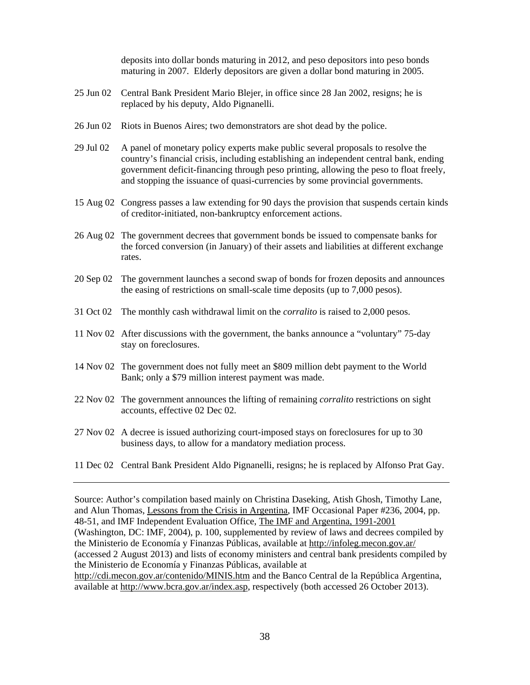deposits into dollar bonds maturing in 2012, and peso depositors into peso bonds maturing in 2007. Elderly depositors are given a dollar bond maturing in 2005.

- 25 Jun 02 Central Bank President Mario Blejer, in office since 28 Jan 2002, resigns; he is replaced by his deputy, Aldo Pignanelli.
- 26 Jun 02 Riots in Buenos Aires; two demonstrators are shot dead by the police.
- 29 Jul 02 A panel of monetary policy experts make public several proposals to resolve the country's financial crisis, including establishing an independent central bank, ending government deficit-financing through peso printing, allowing the peso to float freely, and stopping the issuance of quasi-currencies by some provincial governments.
- 15 Aug 02 Congress passes a law extending for 90 days the provision that suspends certain kinds of creditor-initiated, non-bankruptcy enforcement actions.
- 26 Aug 02 The government decrees that government bonds be issued to compensate banks for the forced conversion (in January) of their assets and liabilities at different exchange rates.
- 20 Sep 02 The government launches a second swap of bonds for frozen deposits and announces the easing of restrictions on small-scale time deposits (up to 7,000 pesos).
- 31 Oct 02 The monthly cash withdrawal limit on the *corralito* is raised to 2,000 pesos.
- 11 Nov 02 After discussions with the government, the banks announce a "voluntary" 75-day stay on foreclosures.
- 14 Nov 02 The government does not fully meet an \$809 million debt payment to the World Bank; only a \$79 million interest payment was made.
- 22 Nov 02 The government announces the lifting of remaining *corralito* restrictions on sight accounts, effective 02 Dec 02.
- 27 Nov 02 A decree is issued authorizing court-imposed stays on foreclosures for up to 30 business days, to allow for a mandatory mediation process.
- 11 Dec 02 Central Bank President Aldo Pignanelli, resigns; he is replaced by Alfonso Prat Gay.

Source: Author's compilation based mainly on Christina Daseking, Atish Ghosh, Timothy Lane, and Alun Thomas, Lessons from the Crisis in Argentina, IMF Occasional Paper #236, 2004, pp. 48-51, and IMF Independent Evaluation Office, The IMF and Argentina, 1991-2001 (Washington, DC: IMF, 2004), p. 100, supplemented by review of laws and decrees compiled by the Ministerio de Economía y Finanzas Públicas, available at http://infoleg.mecon.gov.ar/ (accessed 2 August 2013) and lists of economy ministers and central bank presidents compiled by the Ministerio de Economía y Finanzas Públicas, available at http://cdi.mecon.gov.ar/contenido/MINIS.htm and the Banco Central de la República Argentina, available at http://www.bcra.gov.ar/index.asp, respectively (both accessed 26 October 2013).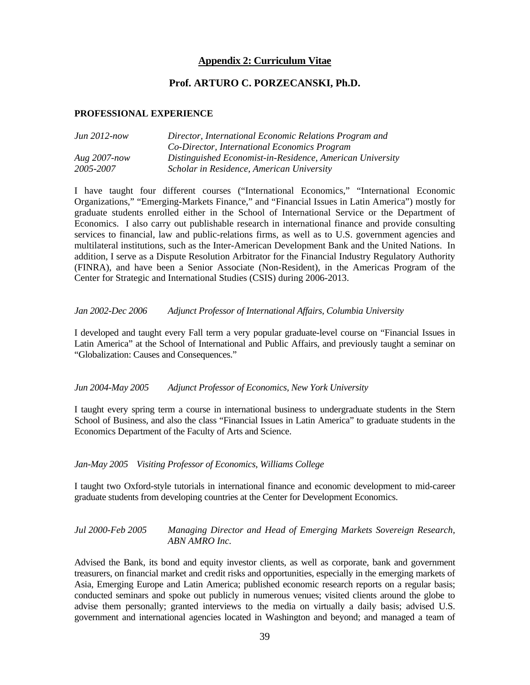## **Appendix 2: Curriculum Vitae**

## **Prof. ARTURO C. PORZECANSKI, Ph.D.**

#### **PROFESSIONAL EXPERIENCE**

| $Jun 2012-now$  | Director, International Economic Relations Program and    |
|-----------------|-----------------------------------------------------------|
|                 | Co-Director, International Economics Program              |
| Aug $2007$ -now | Distinguished Economist-in-Residence, American University |
| 2005-2007       | Scholar in Residence, American University                 |

I have taught four different courses ("International Economics," "International Economic Organizations," "Emerging-Markets Finance," and "Financial Issues in Latin America") mostly for graduate students enrolled either in the School of International Service or the Department of Economics. I also carry out publishable research in international finance and provide consulting services to financial, law and public-relations firms, as well as to U.S. government agencies and multilateral institutions, such as the Inter-American Development Bank and the United Nations. In addition, I serve as a Dispute Resolution Arbitrator for the Financial Industry Regulatory Authority (FINRA), and have been a Senior Associate (Non-Resident), in the Americas Program of the Center for Strategic and International Studies (CSIS) during 2006-2013.

#### *Jan 2002-Dec 2006 Adjunct Professor of International Affairs, Columbia University*

I developed and taught every Fall term a very popular graduate-level course on "Financial Issues in Latin America" at the School of International and Public Affairs, and previously taught a seminar on "Globalization: Causes and Consequences."

#### *Jun 2004-May 2005 Adjunct Professor of Economics, New York University*

I taught every spring term a course in international business to undergraduate students in the Stern School of Business, and also the class "Financial Issues in Latin America" to graduate students in the Economics Department of the Faculty of Arts and Science.

#### *Jan-May 2005 Visiting Professor of Economics, Williams College*

I taught two Oxford-style tutorials in international finance and economic development to mid-career graduate students from developing countries at the Center for Development Economics.

*Jul 2000-Feb 2005 Managing Director and Head of Emerging Markets Sovereign Research, ABN AMRO Inc.* 

Advised the Bank, its bond and equity investor clients, as well as corporate, bank and government treasurers, on financial market and credit risks and opportunities, especially in the emerging markets of Asia, Emerging Europe and Latin America; published economic research reports on a regular basis; conducted seminars and spoke out publicly in numerous venues; visited clients around the globe to advise them personally; granted interviews to the media on virtually a daily basis; advised U.S. government and international agencies located in Washington and beyond; and managed a team of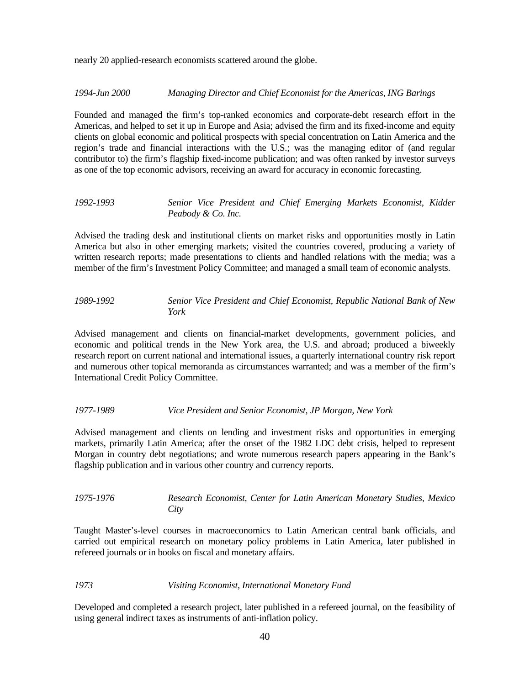nearly 20 applied-research economists scattered around the globe.

*1994-Jun 2000 Managing Director and Chief Economist for the Americas, ING Barings* 

Founded and managed the firm's top-ranked economics and corporate-debt research effort in the Americas, and helped to set it up in Europe and Asia; advised the firm and its fixed-income and equity clients on global economic and political prospects with special concentration on Latin America and the region's trade and financial interactions with the U.S.; was the managing editor of (and regular contributor to) the firm's flagship fixed-income publication; and was often ranked by investor surveys as one of the top economic advisors, receiving an award for accuracy in economic forecasting.

#### *1992-1993 Senior Vice President and Chief Emerging Markets Economist, Kidder Peabody & Co. Inc.*

Advised the trading desk and institutional clients on market risks and opportunities mostly in Latin America but also in other emerging markets; visited the countries covered, producing a variety of written research reports; made presentations to clients and handled relations with the media; was a member of the firm's Investment Policy Committee; and managed a small team of economic analysts.

### *1989-1992 Senior Vice President and Chief Economist, Republic National Bank of New York*

Advised management and clients on financial-market developments, government policies, and economic and political trends in the New York area, the U.S. and abroad; produced a biweekly research report on current national and international issues, a quarterly international country risk report and numerous other topical memoranda as circumstances warranted; and was a member of the firm's International Credit Policy Committee.

#### *1977-1989 Vice President and Senior Economist, JP Morgan, New York*

Advised management and clients on lending and investment risks and opportunities in emerging markets, primarily Latin America; after the onset of the 1982 LDC debt crisis, helped to represent Morgan in country debt negotiations; and wrote numerous research papers appearing in the Bank's flagship publication and in various other country and currency reports.

#### *1975-1976 Research Economist, Center for Latin American Monetary Studies, Mexico City*

Taught Master's-level courses in macroeconomics to Latin American central bank officials, and carried out empirical research on monetary policy problems in Latin America, later published in refereed journals or in books on fiscal and monetary affairs.

#### *1973 Visiting Economist, International Monetary Fund*

Developed and completed a research project, later published in a refereed journal, on the feasibility of using general indirect taxes as instruments of anti-inflation policy.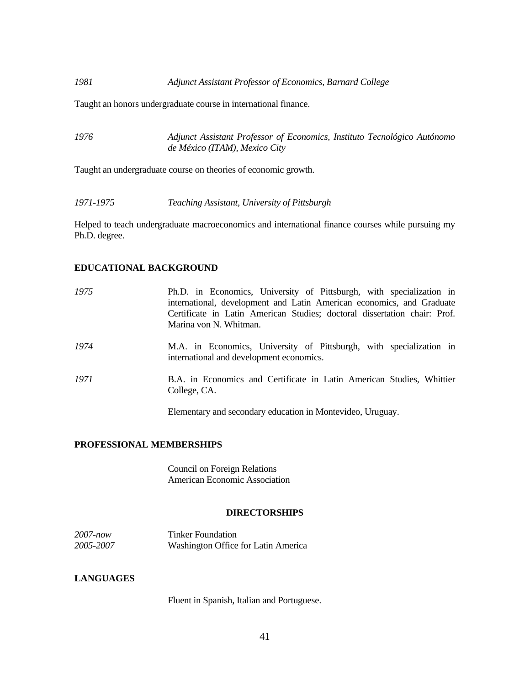Taught an honors undergraduate course in international finance.

*1976 Adjunct Assistant Professor of Economics, Instituto Tecnológico Autónomo de México (ITAM), Mexico City*

Taught an undergraduate course on theories of economic growth.

*1971-1975 Teaching Assistant, University of Pittsburgh* 

Helped to teach undergraduate macroeconomics and international finance courses while pursuing my Ph.D. degree.

#### **EDUCATIONAL BACKGROUND**

| 1975 | Ph.D. in Economics, University of Pittsburgh, with specialization in<br>international, development and Latin American economics, and Graduate<br>Certificate in Latin American Studies; doctoral dissertation chair: Prof.<br>Marina von N. Whitman. |
|------|------------------------------------------------------------------------------------------------------------------------------------------------------------------------------------------------------------------------------------------------------|
| 1974 | M.A. in Economics, University of Pittsburgh, with specialization in<br>international and development economics.                                                                                                                                      |
| 1971 | B.A. in Economics and Certificate in Latin American Studies, Whittier<br>College, CA.                                                                                                                                                                |
|      | Elementary and secondary education in Montevideo, Uruguay.                                                                                                                                                                                           |

## **PROFESSIONAL MEMBERSHIPS**

Council on Foreign Relations American Economic Association

#### **DIRECTORSHIPS**

| $2007$ -now | <b>Tinker Foundation</b>            |
|-------------|-------------------------------------|
| 2005-2007   | Washington Office for Latin America |

### **LANGUAGES**

Fluent in Spanish, Italian and Portuguese.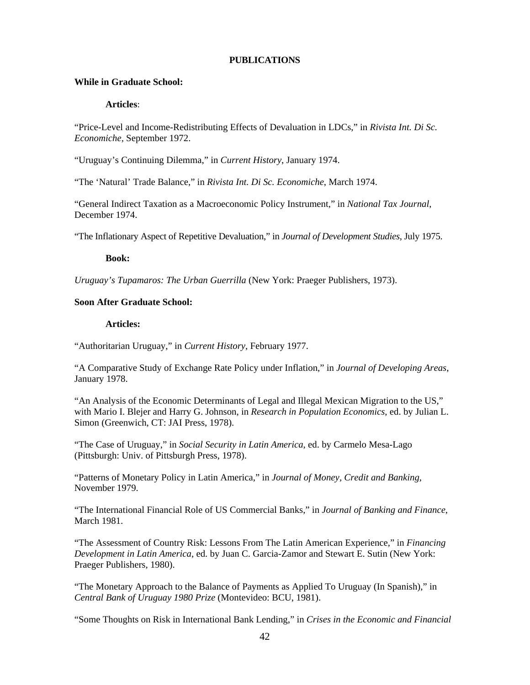#### **PUBLICATIONS**

#### **While in Graduate School:**

## **Articles**:

"Price-Level and Income-Redistributing Effects of Devaluation in LDCs," in *Rivista Int. Di Sc. Economiche,* September 1972.

"Uruguay's Continuing Dilemma," in *Current History*, January 1974.

"The 'Natural' Trade Balance," in *Rivista Int. Di Sc. Economiche*, March 1974.

"General Indirect Taxation as a Macroeconomic Policy Instrument," in *National Tax Journal*, December 1974.

"The Inflationary Aspect of Repetitive Devaluation," in *Journal of Development Studies*, July 1975.

#### **Book:**

*Uruguay's Tupamaros: The Urban Guerrilla* (New York: Praeger Publishers, 1973).

## **Soon After Graduate School:**

#### **Articles:**

"Authoritarian Uruguay," in *Current History*, February 1977.

"A Comparative Study of Exchange Rate Policy under Inflation," in *Journal of Developing Areas*, January 1978.

"An Analysis of the Economic Determinants of Legal and Illegal Mexican Migration to the US," with Mario I. Blejer and Harry G. Johnson, in *Research in Population Economics*, ed. by Julian L. Simon (Greenwich, CT: JAI Press, 1978).

"The Case of Uruguay," in *Social Security in Latin America*, ed. by Carmelo Mesa-Lago (Pittsburgh: Univ. of Pittsburgh Press, 1978).

"Patterns of Monetary Policy in Latin America," in *Journal of Money, Credit and Banking*, November 1979.

"The International Financial Role of US Commercial Banks," in *Journal of Banking and Finance*, March 1981.

"The Assessment of Country Risk: Lessons From The Latin American Experience," in *Financing Development in Latin America*, ed. by Juan C. Garcia-Zamor and Stewart E. Sutin (New York: Praeger Publishers, 1980).

"The Monetary Approach to the Balance of Payments as Applied To Uruguay (In Spanish)," in *Central Bank of Uruguay 1980 Prize* (Montevideo: BCU, 1981).

"Some Thoughts on Risk in International Bank Lending," in *Crises in the Economic and Financial*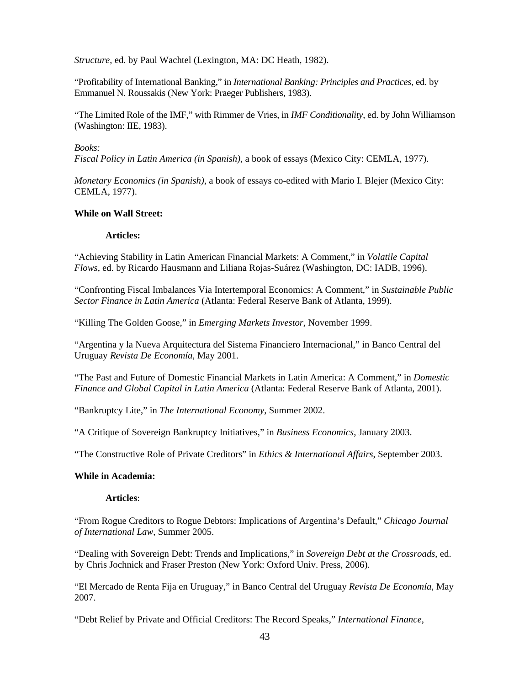*Structure*, ed. by Paul Wachtel (Lexington, MA: DC Heath, 1982).

"Profitability of International Banking," in *International Banking: Principles and Practices*, ed. by Emmanuel N. Roussakis (New York: Praeger Publishers, 1983).

"The Limited Role of the IMF," with Rimmer de Vries, in *IMF Conditionality*, ed. by John Williamson (Washington: IIE, 1983).

#### *Books:*

*Fiscal Policy in Latin America (in Spanish)*, a book of essays (Mexico City: CEMLA, 1977).

*Monetary Economics (in Spanish)*, a book of essays co-edited with Mario I. Blejer (Mexico City: CEMLA, 1977).

### **While on Wall Street:**

#### **Articles:**

"Achieving Stability in Latin American Financial Markets: A Comment," in *Volatile Capital Flows*, ed. by Ricardo Hausmann and Liliana Rojas-Suárez (Washington, DC: IADB, 1996).

"Confronting Fiscal Imbalances Via Intertemporal Economics: A Comment," in *Sustainable Public Sector Finance in Latin America* (Atlanta: Federal Reserve Bank of Atlanta, 1999).

"Killing The Golden Goose," in *Emerging Markets Investor*, November 1999.

"Argentina y la Nueva Arquitectura del Sistema Financiero Internacional," in Banco Central del Uruguay *Revista De Economía*, May 2001.

"The Past and Future of Domestic Financial Markets in Latin America: A Comment," in *Domestic Finance and Global Capital in Latin America* (Atlanta: Federal Reserve Bank of Atlanta, 2001).

"Bankruptcy Lite," in *The International Economy*, Summer 2002.

"A Critique of Sovereign Bankruptcy Initiatives," in *Business Economics*, January 2003.

"The Constructive Role of Private Creditors" in *Ethics & International Affairs*, September 2003.

#### **While in Academia:**

#### **Articles**:

"From Rogue Creditors to Rogue Debtors: Implications of Argentina's Default," *Chicago Journal of International Law*, Summer 2005.

"Dealing with Sovereign Debt: Trends and Implications," in *Sovereign Debt at the Crossroads*, ed. by Chris Jochnick and Fraser Preston (New York: Oxford Univ. Press, 2006).

"El Mercado de Renta Fija en Uruguay," in Banco Central del Uruguay *Revista De Economía*, May 2007.

"Debt Relief by Private and Official Creditors: The Record Speaks," *International Finance*,